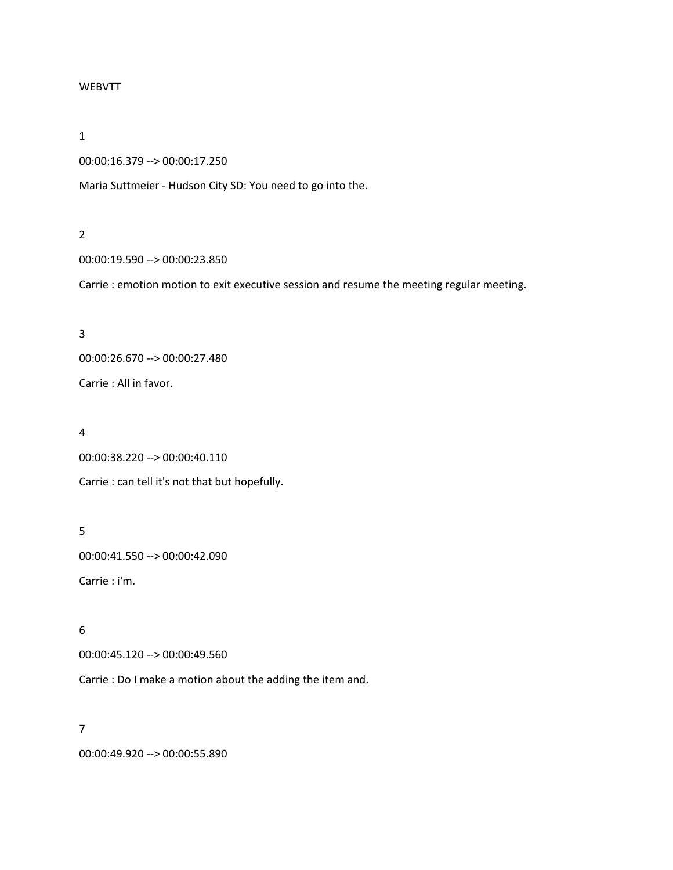### WEBVTT

### 1

```
00:00:16.379 --> 00:00:17.250
```
Maria Suttmeier - Hudson City SD: You need to go into the.

## 2

00:00:19.590 --> 00:00:23.850

Carrie : emotion motion to exit executive session and resume the meeting regular meeting.

# 3

00:00:26.670 --> 00:00:27.480

Carrie : All in favor.

# 4

00:00:38.220 --> 00:00:40.110

Carrie : can tell it's not that but hopefully.

# 5

00:00:41.550 --> 00:00:42.090

Carrie : i'm.

# 6

00:00:45.120 --> 00:00:49.560

Carrie : Do I make a motion about the adding the item and.

# 7

00:00:49.920 --> 00:00:55.890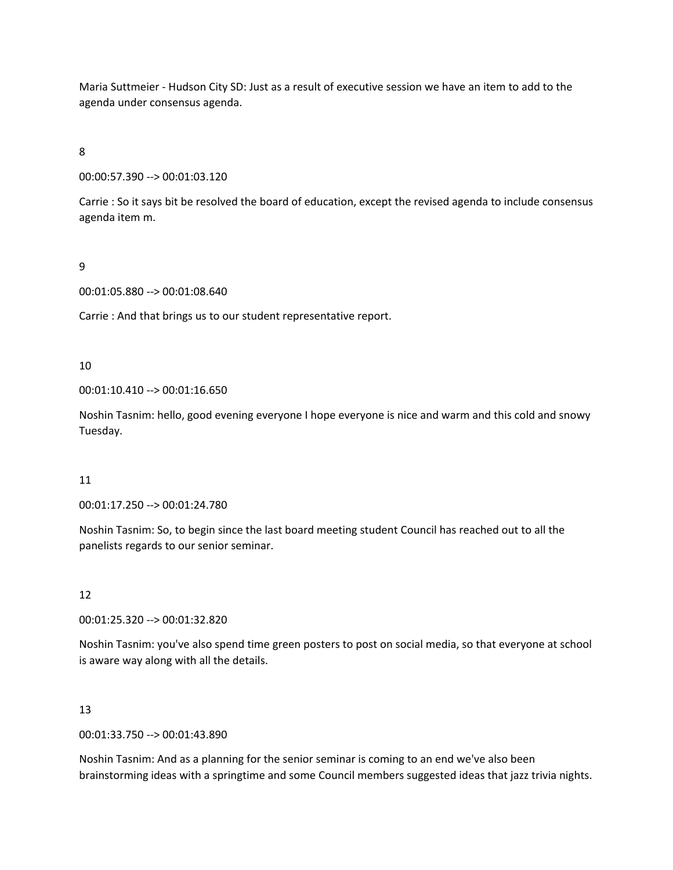Maria Suttmeier - Hudson City SD: Just as a result of executive session we have an item to add to the agenda under consensus agenda.

8

00:00:57.390 --> 00:01:03.120

Carrie : So it says bit be resolved the board of education, except the revised agenda to include consensus agenda item m.

9

00:01:05.880 --> 00:01:08.640

Carrie : And that brings us to our student representative report.

10

00:01:10.410 --> 00:01:16.650

Noshin Tasnim: hello, good evening everyone I hope everyone is nice and warm and this cold and snowy Tuesday.

## 11

00:01:17.250 --> 00:01:24.780

Noshin Tasnim: So, to begin since the last board meeting student Council has reached out to all the panelists regards to our senior seminar.

12

00:01:25.320 --> 00:01:32.820

Noshin Tasnim: you've also spend time green posters to post on social media, so that everyone at school is aware way along with all the details.

## 13

00:01:33.750 --> 00:01:43.890

Noshin Tasnim: And as a planning for the senior seminar is coming to an end we've also been brainstorming ideas with a springtime and some Council members suggested ideas that jazz trivia nights.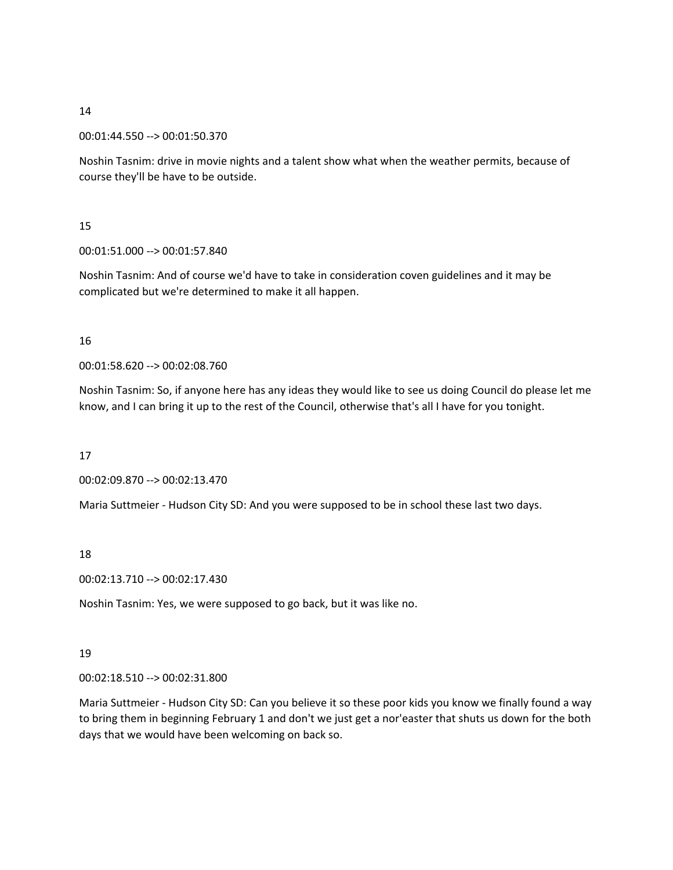00:01:44.550 --> 00:01:50.370

Noshin Tasnim: drive in movie nights and a talent show what when the weather permits, because of course they'll be have to be outside.

# 15

00:01:51.000 --> 00:01:57.840

Noshin Tasnim: And of course we'd have to take in consideration coven guidelines and it may be complicated but we're determined to make it all happen.

# 16

00:01:58.620 --> 00:02:08.760

Noshin Tasnim: So, if anyone here has any ideas they would like to see us doing Council do please let me know, and I can bring it up to the rest of the Council, otherwise that's all I have for you tonight.

## 17

00:02:09.870 --> 00:02:13.470

Maria Suttmeier - Hudson City SD: And you were supposed to be in school these last two days.

## 18

00:02:13.710 --> 00:02:17.430

Noshin Tasnim: Yes, we were supposed to go back, but it was like no.

# 19

00:02:18.510 --> 00:02:31.800

Maria Suttmeier - Hudson City SD: Can you believe it so these poor kids you know we finally found a way to bring them in beginning February 1 and don't we just get a nor'easter that shuts us down for the both days that we would have been welcoming on back so.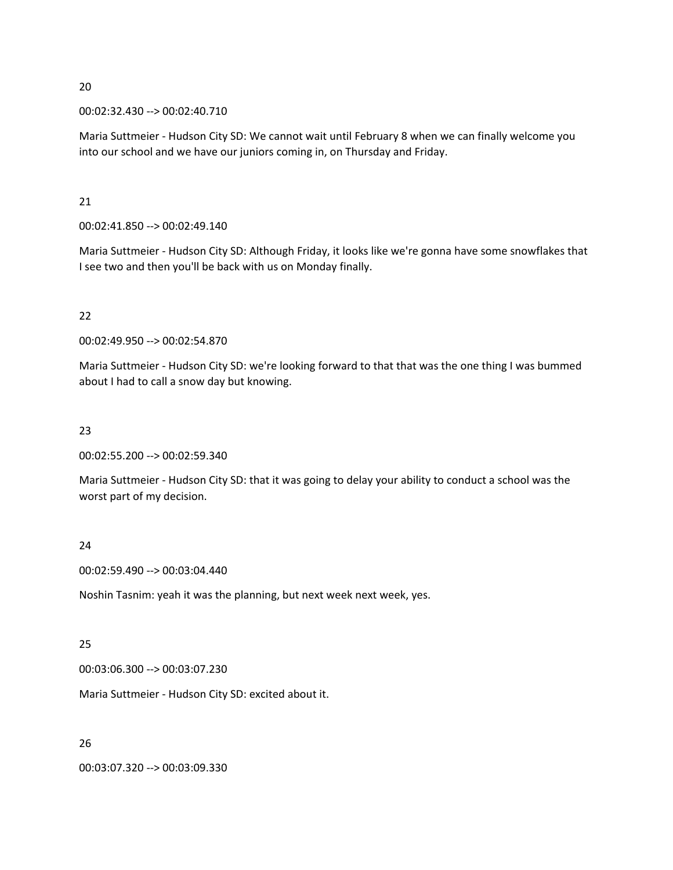00:02:32.430 --> 00:02:40.710

Maria Suttmeier - Hudson City SD: We cannot wait until February 8 when we can finally welcome you into our school and we have our juniors coming in, on Thursday and Friday.

21

00:02:41.850 --> 00:02:49.140

Maria Suttmeier - Hudson City SD: Although Friday, it looks like we're gonna have some snowflakes that I see two and then you'll be back with us on Monday finally.

# 22

00:02:49.950 --> 00:02:54.870

Maria Suttmeier - Hudson City SD: we're looking forward to that that was the one thing I was bummed about I had to call a snow day but knowing.

# 23

00:02:55.200 --> 00:02:59.340

Maria Suttmeier - Hudson City SD: that it was going to delay your ability to conduct a school was the worst part of my decision.

# 24

00:02:59.490 --> 00:03:04.440

Noshin Tasnim: yeah it was the planning, but next week next week, yes.

## 25

00:03:06.300 --> 00:03:07.230

Maria Suttmeier - Hudson City SD: excited about it.

# 26

00:03:07.320 --> 00:03:09.330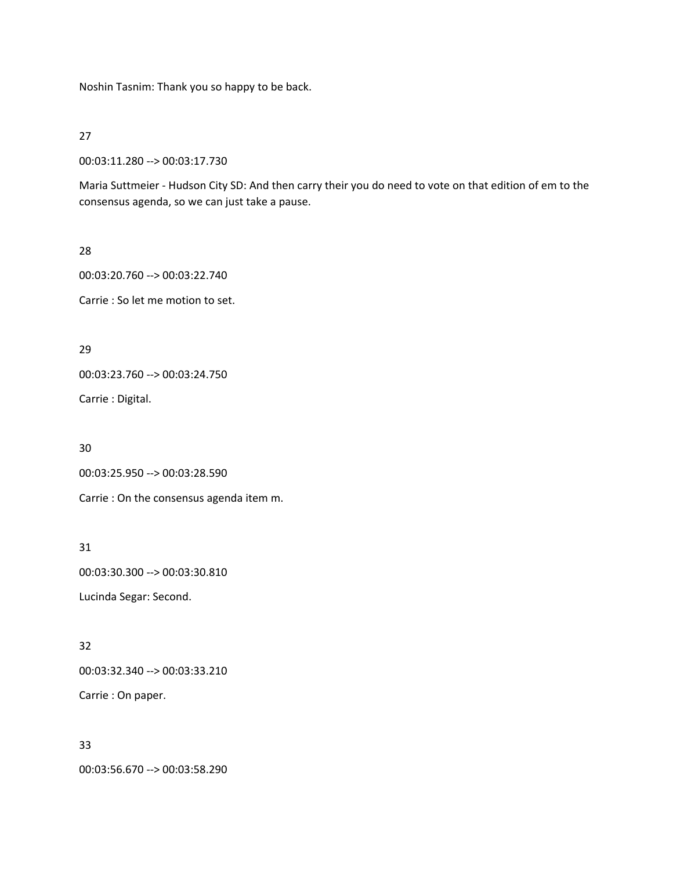Noshin Tasnim: Thank you so happy to be back.

27

00:03:11.280 --> 00:03:17.730

Maria Suttmeier - Hudson City SD: And then carry their you do need to vote on that edition of em to the consensus agenda, so we can just take a pause.

28

00:03:20.760 --> 00:03:22.740

Carrie : So let me motion to set.

29

00:03:23.760 --> 00:03:24.750

Carrie : Digital.

30

00:03:25.950 --> 00:03:28.590

Carrie : On the consensus agenda item m.

31

00:03:30.300 --> 00:03:30.810 Lucinda Segar: Second.

32

00:03:32.340 --> 00:03:33.210

Carrie : On paper.

33

00:03:56.670 --> 00:03:58.290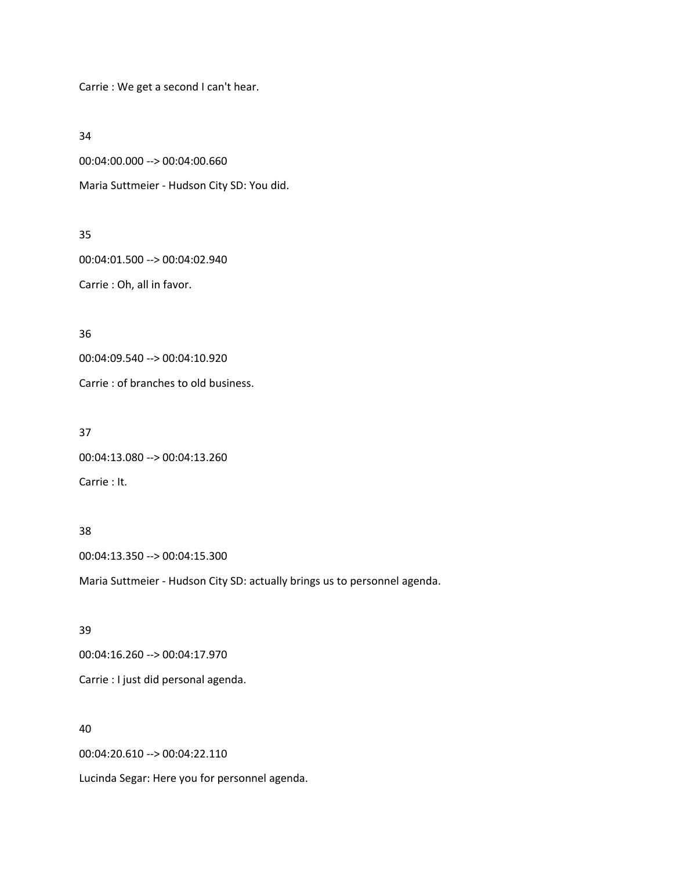Carrie : We get a second I can't hear.

34

00:04:00.000 --> 00:04:00.660

Maria Suttmeier - Hudson City SD: You did.

## 35

00:04:01.500 --> 00:04:02.940

Carrie : Oh, all in favor.

36

00:04:09.540 --> 00:04:10.920

Carrie : of branches to old business.

37

00:04:13.080 --> 00:04:13.260

Carrie : It.

# 38

00:04:13.350 --> 00:04:15.300

Maria Suttmeier - Hudson City SD: actually brings us to personnel agenda.

## 39

00:04:16.260 --> 00:04:17.970

Carrie : I just did personal agenda.

# 40

00:04:20.610 --> 00:04:22.110

Lucinda Segar: Here you for personnel agenda.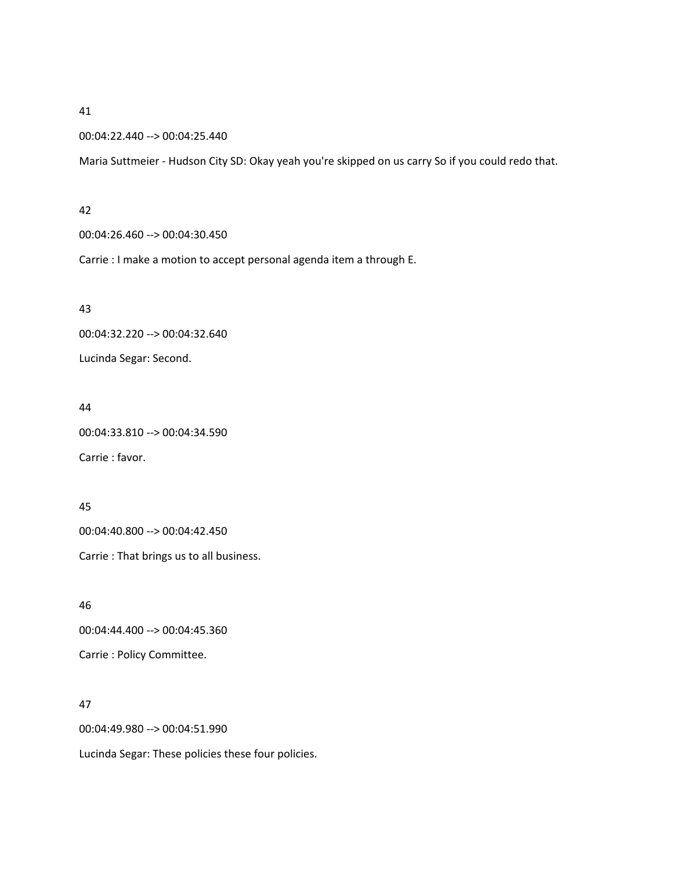#### 00:04:22.440 --> 00:04:25.440

Maria Suttmeier - Hudson City SD: Okay yeah you're skipped on us carry So if you could redo that.

#### 42

00:04:26.460 --> 00:04:30.450

Carrie : I make a motion to accept personal agenda item a through E.

#### 43

00:04:32.220 --> 00:04:32.640

Lucinda Segar: Second.

### 44

00:04:33.810 --> 00:04:34.590

Carrie : favor.

## 45

00:04:40.800 --> 00:04:42.450

Carrie : That brings us to all business.

46 00:04:44.400 --> 00:04:45.360

Carrie : Policy Committee.

## 47

00:04:49.980 --> 00:04:51.990

Lucinda Segar: These policies these four policies.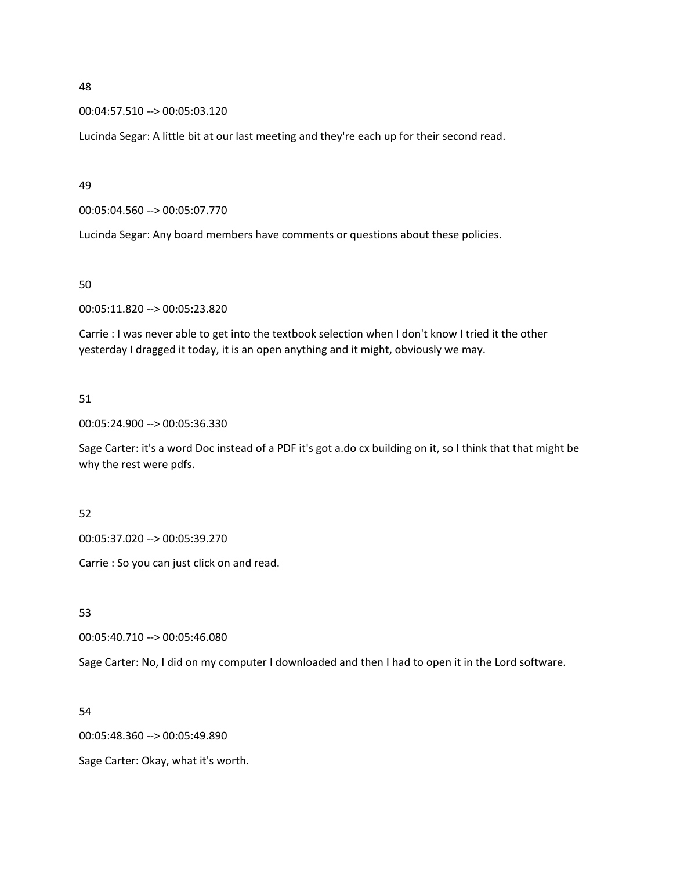00:04:57.510 --> 00:05:03.120

Lucinda Segar: A little bit at our last meeting and they're each up for their second read.

49

00:05:04.560 --> 00:05:07.770

Lucinda Segar: Any board members have comments or questions about these policies.

50

00:05:11.820 --> 00:05:23.820

Carrie : I was never able to get into the textbook selection when I don't know I tried it the other yesterday I dragged it today, it is an open anything and it might, obviously we may.

51

00:05:24.900 --> 00:05:36.330

Sage Carter: it's a word Doc instead of a PDF it's got a.do cx building on it, so I think that that might be why the rest were pdfs.

52

00:05:37.020 --> 00:05:39.270

Carrie : So you can just click on and read.

53

00:05:40.710 --> 00:05:46.080

Sage Carter: No, I did on my computer I downloaded and then I had to open it in the Lord software.

54

00:05:48.360 --> 00:05:49.890

Sage Carter: Okay, what it's worth.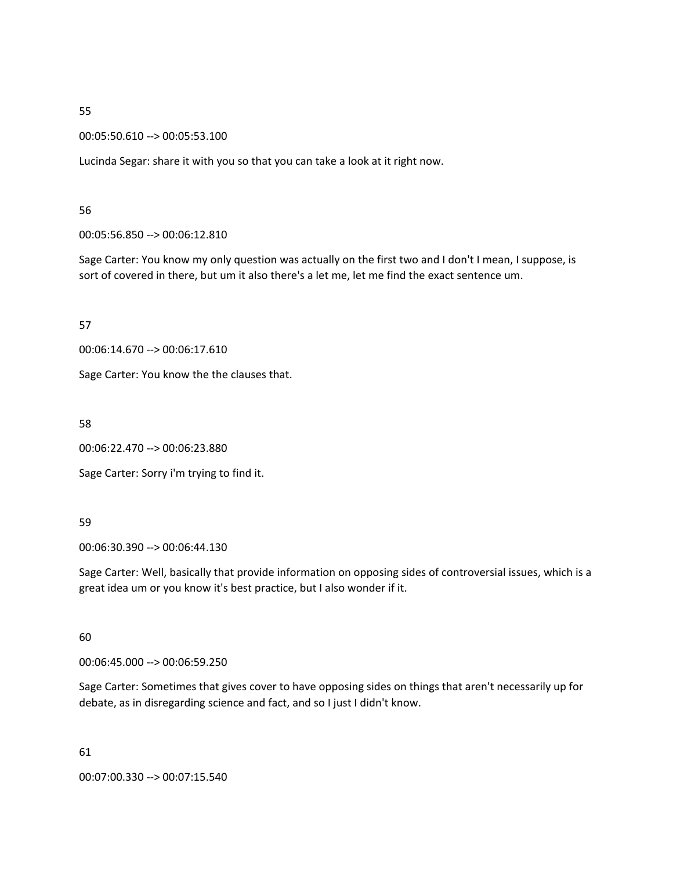00:05:50.610 --> 00:05:53.100

Lucinda Segar: share it with you so that you can take a look at it right now.

56

00:05:56.850 --> 00:06:12.810

Sage Carter: You know my only question was actually on the first two and I don't I mean, I suppose, is sort of covered in there, but um it also there's a let me, let me find the exact sentence um.

57

00:06:14.670 --> 00:06:17.610

Sage Carter: You know the the clauses that.

58

00:06:22.470 --> 00:06:23.880

Sage Carter: Sorry i'm trying to find it.

59

00:06:30.390 --> 00:06:44.130

Sage Carter: Well, basically that provide information on opposing sides of controversial issues, which is a great idea um or you know it's best practice, but I also wonder if it.

60

00:06:45.000 --> 00:06:59.250

Sage Carter: Sometimes that gives cover to have opposing sides on things that aren't necessarily up for debate, as in disregarding science and fact, and so I just I didn't know.

61

00:07:00.330 --> 00:07:15.540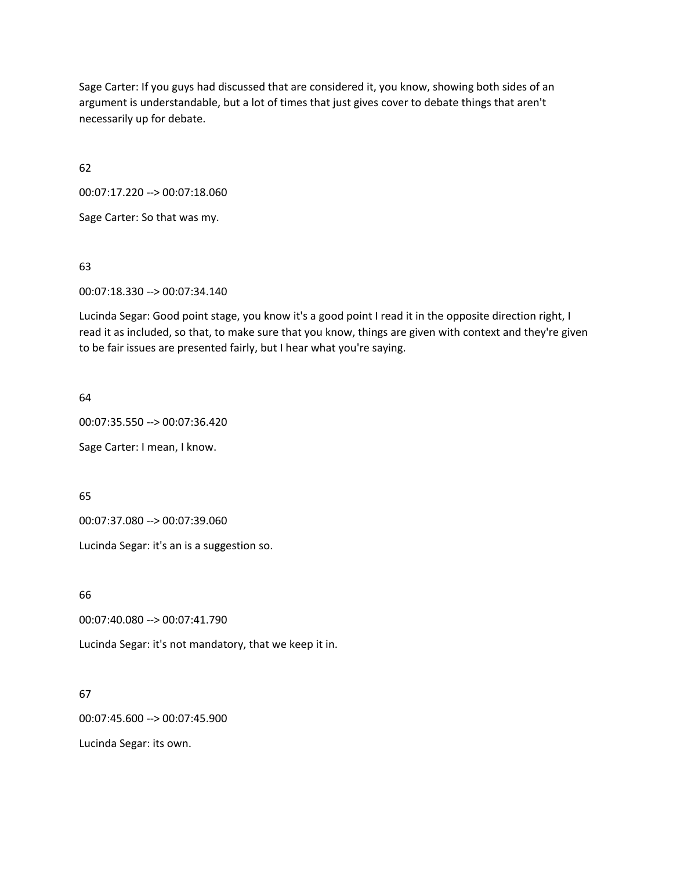Sage Carter: If you guys had discussed that are considered it, you know, showing both sides of an argument is understandable, but a lot of times that just gives cover to debate things that aren't necessarily up for debate.

62

00:07:17.220 --> 00:07:18.060

Sage Carter: So that was my.

63

00:07:18.330 --> 00:07:34.140

Lucinda Segar: Good point stage, you know it's a good point I read it in the opposite direction right, I read it as included, so that, to make sure that you know, things are given with context and they're given to be fair issues are presented fairly, but I hear what you're saying.

64

00:07:35.550 --> 00:07:36.420

Sage Carter: I mean, I know.

65

00:07:37.080 --> 00:07:39.060

Lucinda Segar: it's an is a suggestion so.

66

00:07:40.080 --> 00:07:41.790

Lucinda Segar: it's not mandatory, that we keep it in.

67

00:07:45.600 --> 00:07:45.900

Lucinda Segar: its own.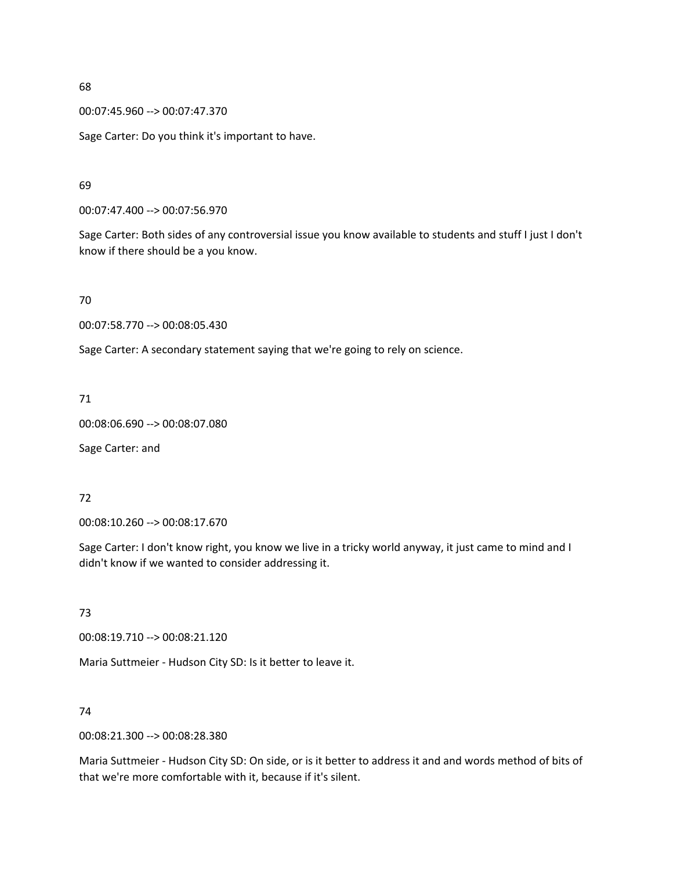00:07:45.960 --> 00:07:47.370

Sage Carter: Do you think it's important to have.

69

00:07:47.400 --> 00:07:56.970

Sage Carter: Both sides of any controversial issue you know available to students and stuff I just I don't know if there should be a you know.

70

00:07:58.770 --> 00:08:05.430

Sage Carter: A secondary statement saying that we're going to rely on science.

71

00:08:06.690 --> 00:08:07.080

Sage Carter: and

## 72

00:08:10.260 --> 00:08:17.670

Sage Carter: I don't know right, you know we live in a tricky world anyway, it just came to mind and I didn't know if we wanted to consider addressing it.

73

00:08:19.710 --> 00:08:21.120

Maria Suttmeier - Hudson City SD: Is it better to leave it.

#### 74

00:08:21.300 --> 00:08:28.380

Maria Suttmeier - Hudson City SD: On side, or is it better to address it and and words method of bits of that we're more comfortable with it, because if it's silent.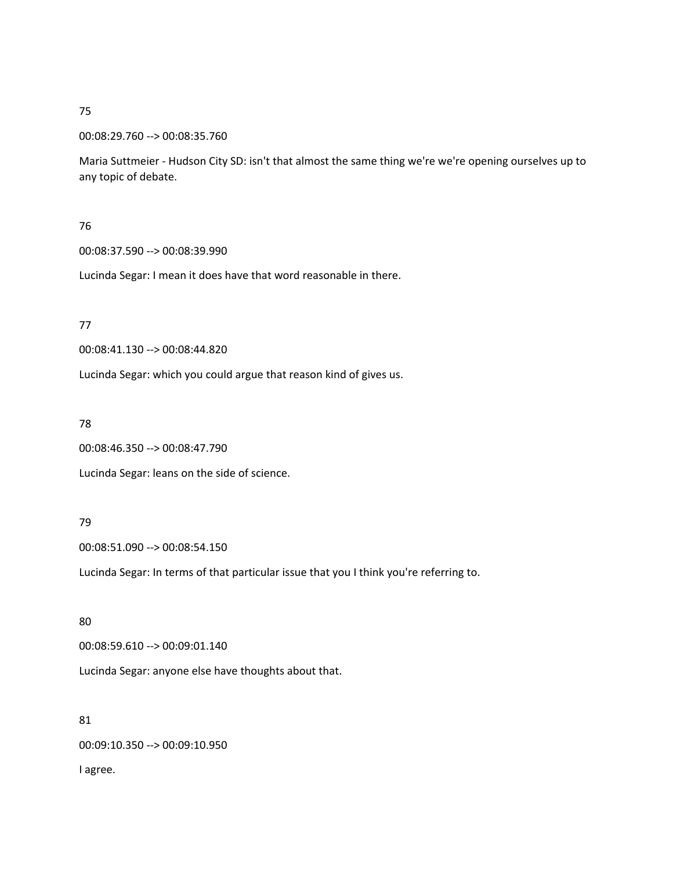#### 00:08:29.760 --> 00:08:35.760

Maria Suttmeier - Hudson City SD: isn't that almost the same thing we're we're opening ourselves up to any topic of debate.

# 76

## 00:08:37.590 --> 00:08:39.990

Lucinda Segar: I mean it does have that word reasonable in there.

## 77

00:08:41.130 --> 00:08:44.820

Lucinda Segar: which you could argue that reason kind of gives us.

## 78

00:08:46.350 --> 00:08:47.790

Lucinda Segar: leans on the side of science.

## 79

00:08:51.090 --> 00:08:54.150

Lucinda Segar: In terms of that particular issue that you I think you're referring to.

# 80

00:08:59.610 --> 00:09:01.140

Lucinda Segar: anyone else have thoughts about that.

# 81

00:09:10.350 --> 00:09:10.950

I agree.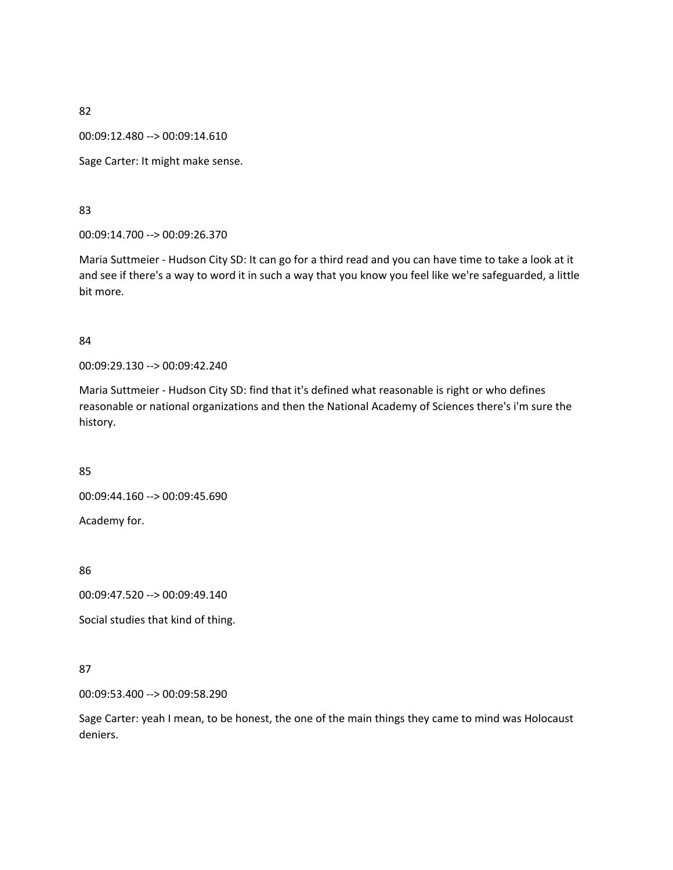00:09:12.480 --> 00:09:14.610

Sage Carter: It might make sense.

83

00:09:14.700 --> 00:09:26.370

Maria Suttmeier - Hudson City SD: It can go for a third read and you can have time to take a look at it and see if there's a way to word it in such a way that you know you feel like we're safeguarded, a little bit more.

#### 84

00:09:29.130 --> 00:09:42.240

Maria Suttmeier - Hudson City SD: find that it's defined what reasonable is right or who defines reasonable or national organizations and then the National Academy of Sciences there's i'm sure the history.

85

00:09:44.160 --> 00:09:45.690

86

Academy for.

00:09:47.520 --> 00:09:49.140

Social studies that kind of thing.

## 87

00:09:53.400 --> 00:09:58.290

Sage Carter: yeah I mean, to be honest, the one of the main things they came to mind was Holocaust deniers.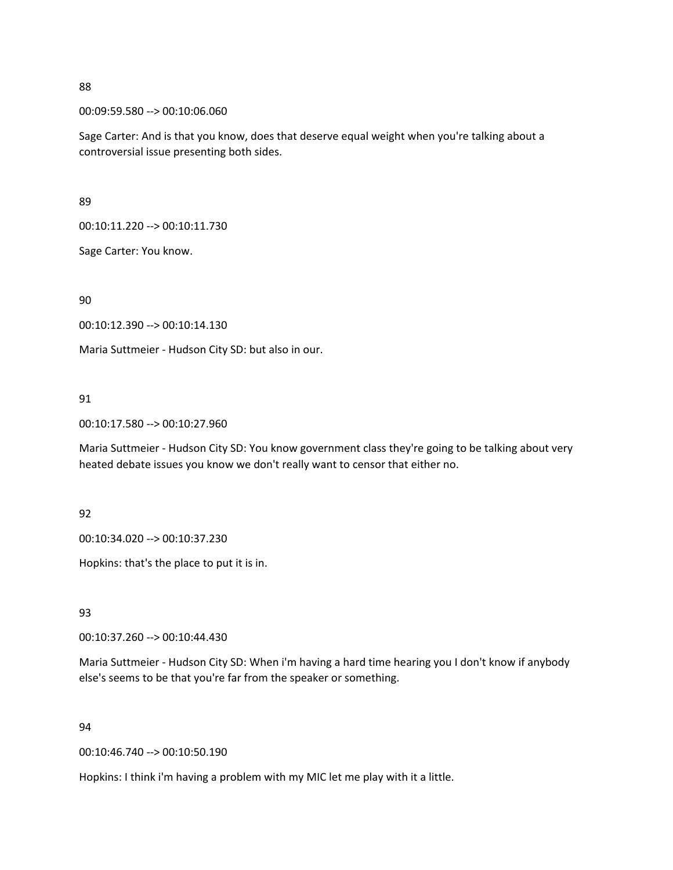00:09:59.580 --> 00:10:06.060

Sage Carter: And is that you know, does that deserve equal weight when you're talking about a controversial issue presenting both sides.

89

00:10:11.220 --> 00:10:11.730

Sage Carter: You know.

90

00:10:12.390 --> 00:10:14.130

Maria Suttmeier - Hudson City SD: but also in our.

## 91

00:10:17.580 --> 00:10:27.960

Maria Suttmeier - Hudson City SD: You know government class they're going to be talking about very heated debate issues you know we don't really want to censor that either no.

92

00:10:34.020 --> 00:10:37.230

Hopkins: that's the place to put it is in.

93

00:10:37.260 --> 00:10:44.430

Maria Suttmeier - Hudson City SD: When i'm having a hard time hearing you I don't know if anybody else's seems to be that you're far from the speaker or something.

## 94

00:10:46.740 --> 00:10:50.190

Hopkins: I think i'm having a problem with my MIC let me play with it a little.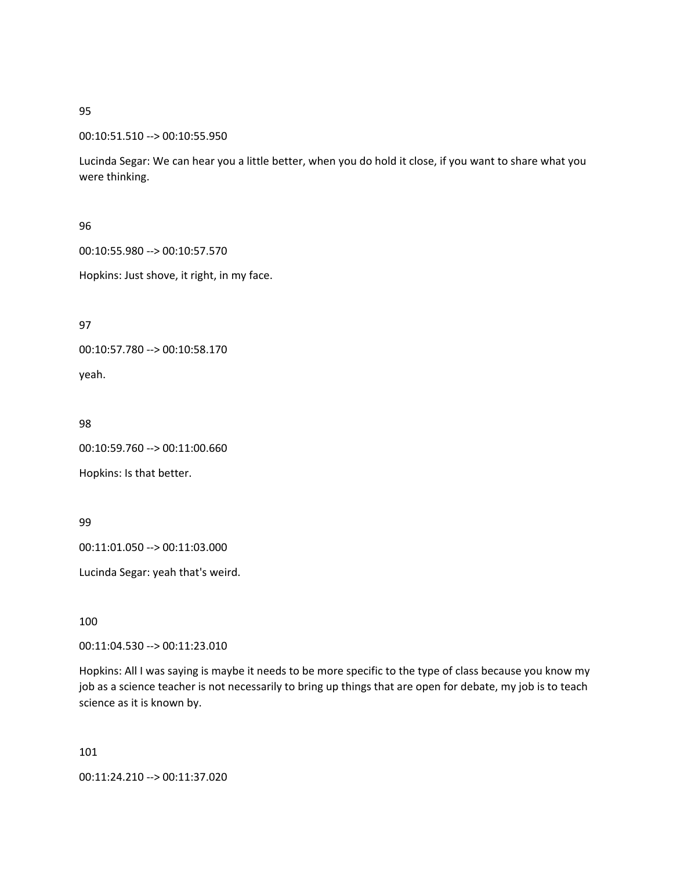#### 00:10:51.510 --> 00:10:55.950

Lucinda Segar: We can hear you a little better, when you do hold it close, if you want to share what you were thinking.

## 96

00:10:55.980 --> 00:10:57.570

Hopkins: Just shove, it right, in my face.

97

00:10:57.780 --> 00:10:58.170

yeah.

98

00:10:59.760 --> 00:11:00.660

Hopkins: Is that better.

99

00:11:01.050 --> 00:11:03.000

Lucinda Segar: yeah that's weird.

100

00:11:04.530 --> 00:11:23.010

Hopkins: All I was saying is maybe it needs to be more specific to the type of class because you know my job as a science teacher is not necessarily to bring up things that are open for debate, my job is to teach science as it is known by.

101

00:11:24.210 --> 00:11:37.020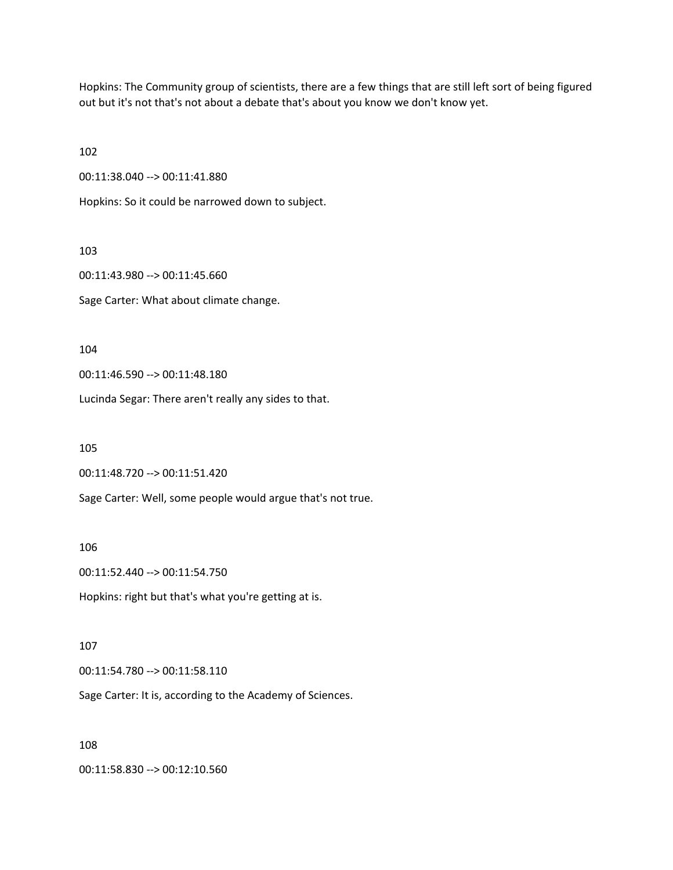Hopkins: The Community group of scientists, there are a few things that are still left sort of being figured out but it's not that's not about a debate that's about you know we don't know yet.

102

00:11:38.040 --> 00:11:41.880

Hopkins: So it could be narrowed down to subject.

103

00:11:43.980 --> 00:11:45.660

Sage Carter: What about climate change.

104

00:11:46.590 --> 00:11:48.180

Lucinda Segar: There aren't really any sides to that.

105

00:11:48.720 --> 00:11:51.420

Sage Carter: Well, some people would argue that's not true.

106

00:11:52.440 --> 00:11:54.750

Hopkins: right but that's what you're getting at is.

#### 107

00:11:54.780 --> 00:11:58.110

Sage Carter: It is, according to the Academy of Sciences.

#### 108

00:11:58.830 --> 00:12:10.560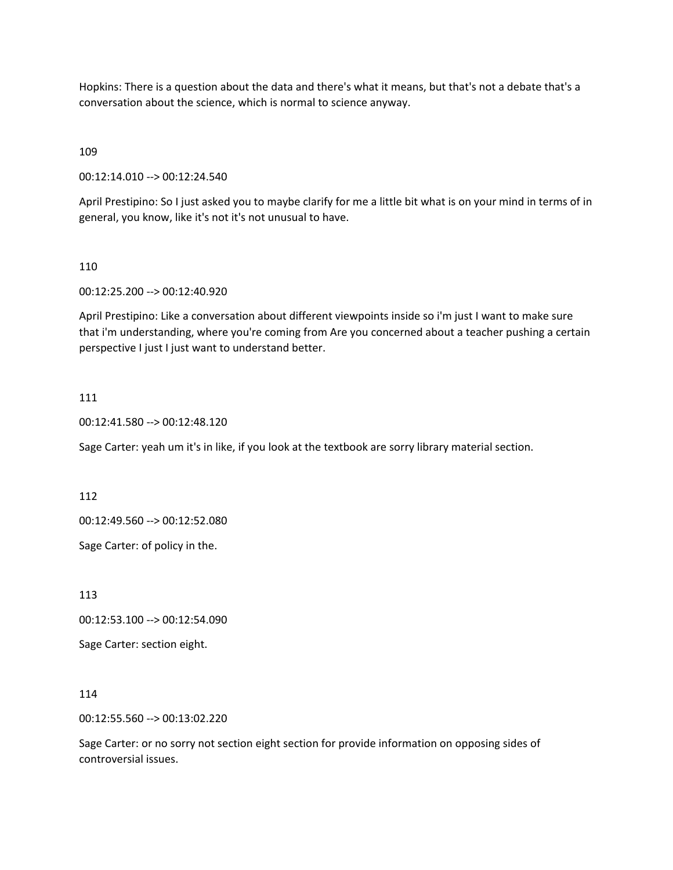Hopkins: There is a question about the data and there's what it means, but that's not a debate that's a conversation about the science, which is normal to science anyway.

109

00:12:14.010 --> 00:12:24.540

April Prestipino: So I just asked you to maybe clarify for me a little bit what is on your mind in terms of in general, you know, like it's not it's not unusual to have.

#### 110

00:12:25.200 --> 00:12:40.920

April Prestipino: Like a conversation about different viewpoints inside so i'm just I want to make sure that i'm understanding, where you're coming from Are you concerned about a teacher pushing a certain perspective I just I just want to understand better.

#### 111

00:12:41.580 --> 00:12:48.120

Sage Carter: yeah um it's in like, if you look at the textbook are sorry library material section.

112

00:12:49.560 --> 00:12:52.080

Sage Carter: of policy in the.

113

00:12:53.100 --> 00:12:54.090

Sage Carter: section eight.

114

00:12:55.560 --> 00:13:02.220

Sage Carter: or no sorry not section eight section for provide information on opposing sides of controversial issues.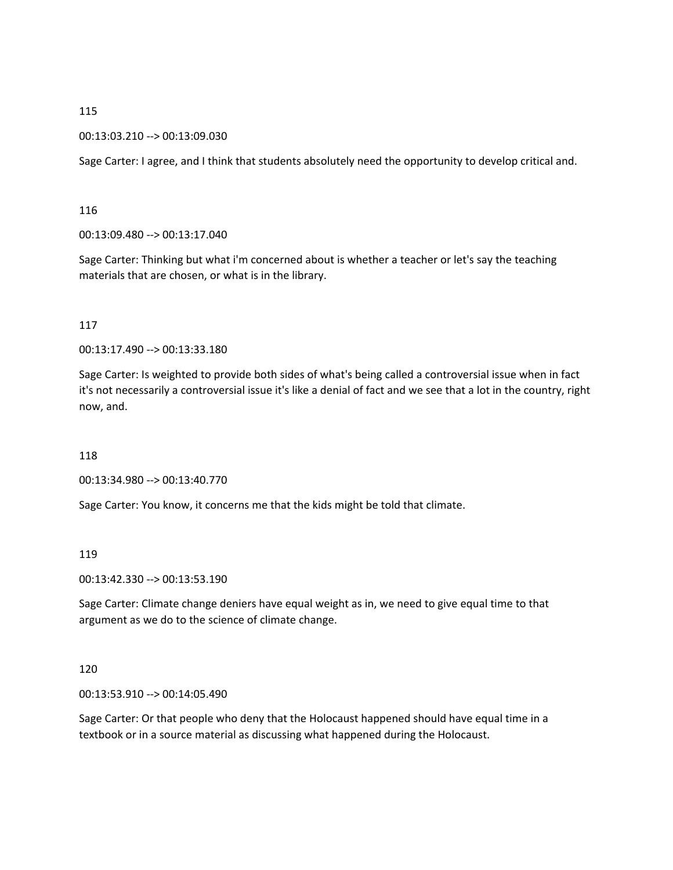00:13:03.210 --> 00:13:09.030

Sage Carter: I agree, and I think that students absolutely need the opportunity to develop critical and.

# 116

00:13:09.480 --> 00:13:17.040

Sage Carter: Thinking but what i'm concerned about is whether a teacher or let's say the teaching materials that are chosen, or what is in the library.

# 117

00:13:17.490 --> 00:13:33.180

Sage Carter: Is weighted to provide both sides of what's being called a controversial issue when in fact it's not necessarily a controversial issue it's like a denial of fact and we see that a lot in the country, right now, and.

## 118

00:13:34.980 --> 00:13:40.770

Sage Carter: You know, it concerns me that the kids might be told that climate.

# 119

00:13:42.330 --> 00:13:53.190

Sage Carter: Climate change deniers have equal weight as in, we need to give equal time to that argument as we do to the science of climate change.

## 120

00:13:53.910 --> 00:14:05.490

Sage Carter: Or that people who deny that the Holocaust happened should have equal time in a textbook or in a source material as discussing what happened during the Holocaust.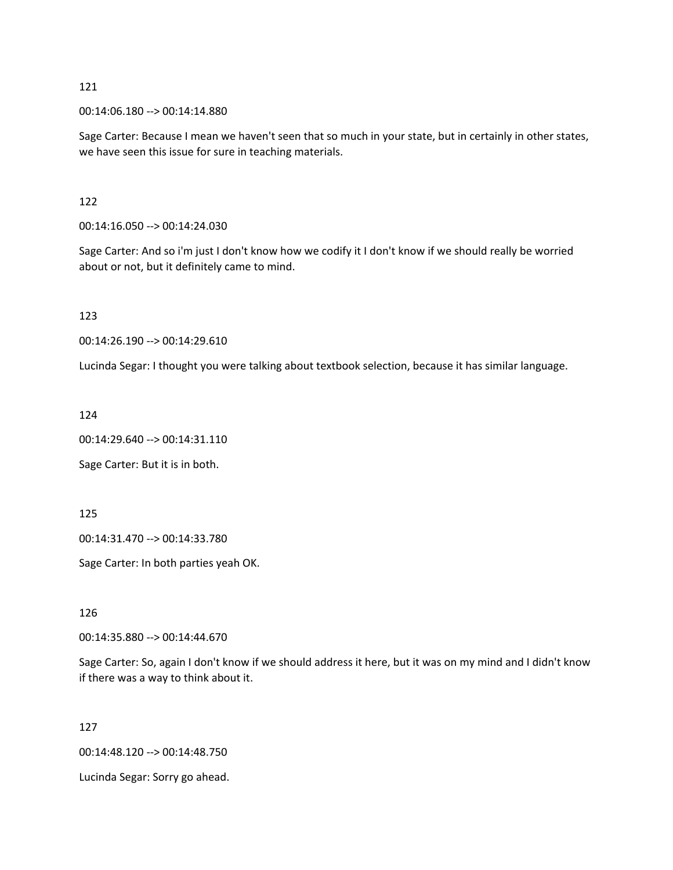00:14:06.180 --> 00:14:14.880

Sage Carter: Because I mean we haven't seen that so much in your state, but in certainly in other states, we have seen this issue for sure in teaching materials.

## 122

00:14:16.050 --> 00:14:24.030

Sage Carter: And so i'm just I don't know how we codify it I don't know if we should really be worried about or not, but it definitely came to mind.

123

00:14:26.190 --> 00:14:29.610

Lucinda Segar: I thought you were talking about textbook selection, because it has similar language.

124

00:14:29.640 --> 00:14:31.110

Sage Carter: But it is in both.

125

00:14:31.470 --> 00:14:33.780

Sage Carter: In both parties yeah OK.

126

00:14:35.880 --> 00:14:44.670

Sage Carter: So, again I don't know if we should address it here, but it was on my mind and I didn't know if there was a way to think about it.

127

00:14:48.120 --> 00:14:48.750

Lucinda Segar: Sorry go ahead.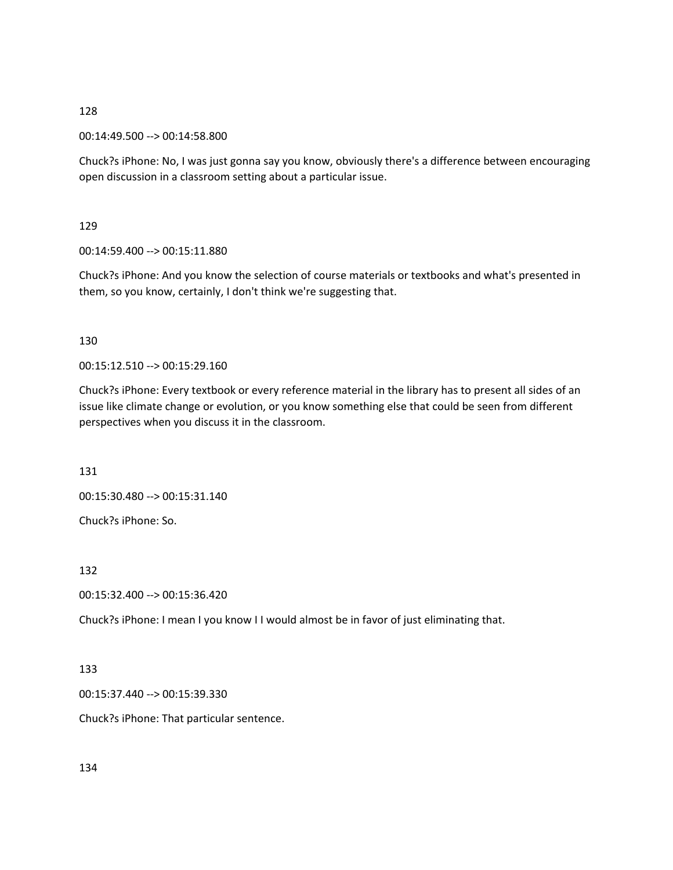00:14:49.500 --> 00:14:58.800

Chuck?s iPhone: No, I was just gonna say you know, obviously there's a difference between encouraging open discussion in a classroom setting about a particular issue.

129

00:14:59.400 --> 00:15:11.880

Chuck?s iPhone: And you know the selection of course materials or textbooks and what's presented in them, so you know, certainly, I don't think we're suggesting that.

#### 130

00:15:12.510 --> 00:15:29.160

Chuck?s iPhone: Every textbook or every reference material in the library has to present all sides of an issue like climate change or evolution, or you know something else that could be seen from different perspectives when you discuss it in the classroom.

131

00:15:30.480 --> 00:15:31.140

Chuck?s iPhone: So.

132

00:15:32.400 --> 00:15:36.420

Chuck?s iPhone: I mean I you know I I would almost be in favor of just eliminating that.

#### 133

00:15:37.440 --> 00:15:39.330

Chuck?s iPhone: That particular sentence.

134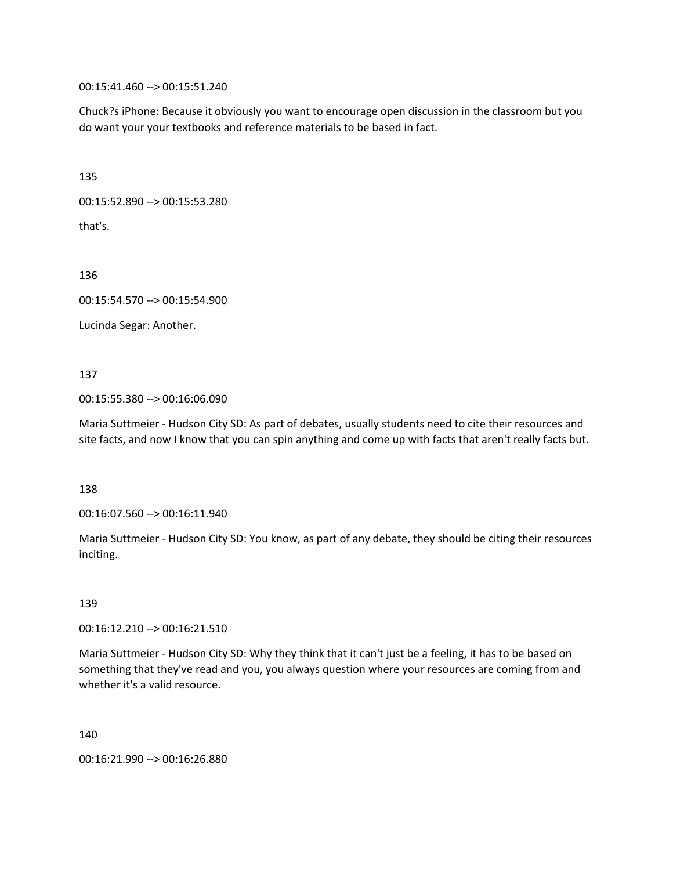00:15:41.460 --> 00:15:51.240

Chuck?s iPhone: Because it obviously you want to encourage open discussion in the classroom but you do want your your textbooks and reference materials to be based in fact.

135

00:15:52.890 --> 00:15:53.280

that's.

136

00:15:54.570 --> 00:15:54.900

Lucinda Segar: Another.

137

00:15:55.380 --> 00:16:06.090

Maria Suttmeier - Hudson City SD: As part of debates, usually students need to cite their resources and site facts, and now I know that you can spin anything and come up with facts that aren't really facts but.

138

00:16:07.560 --> 00:16:11.940

Maria Suttmeier - Hudson City SD: You know, as part of any debate, they should be citing their resources inciting.

139

00:16:12.210 --> 00:16:21.510

Maria Suttmeier - Hudson City SD: Why they think that it can't just be a feeling, it has to be based on something that they've read and you, you always question where your resources are coming from and whether it's a valid resource.

140

00:16:21.990 --> 00:16:26.880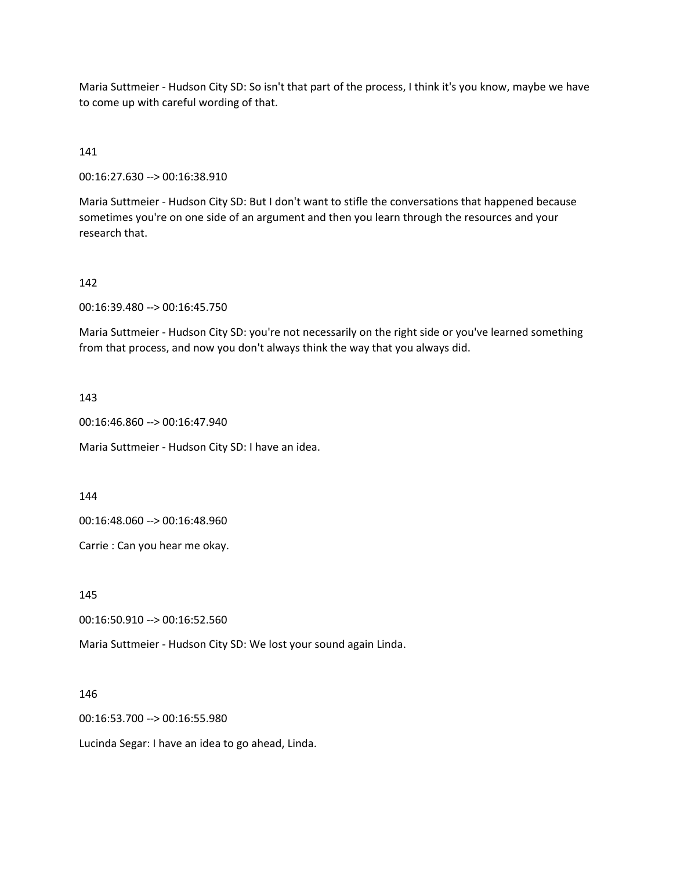Maria Suttmeier - Hudson City SD: So isn't that part of the process, I think it's you know, maybe we have to come up with careful wording of that.

# 141

00:16:27.630 --> 00:16:38.910

Maria Suttmeier - Hudson City SD: But I don't want to stifle the conversations that happened because sometimes you're on one side of an argument and then you learn through the resources and your research that.

#### 142

00:16:39.480 --> 00:16:45.750

Maria Suttmeier - Hudson City SD: you're not necessarily on the right side or you've learned something from that process, and now you don't always think the way that you always did.

#### 143

00:16:46.860 --> 00:16:47.940

Maria Suttmeier - Hudson City SD: I have an idea.

#### 144

00:16:48.060 --> 00:16:48.960

Carrie : Can you hear me okay.

145

00:16:50.910 --> 00:16:52.560

Maria Suttmeier - Hudson City SD: We lost your sound again Linda.

146

00:16:53.700 --> 00:16:55.980

Lucinda Segar: I have an idea to go ahead, Linda.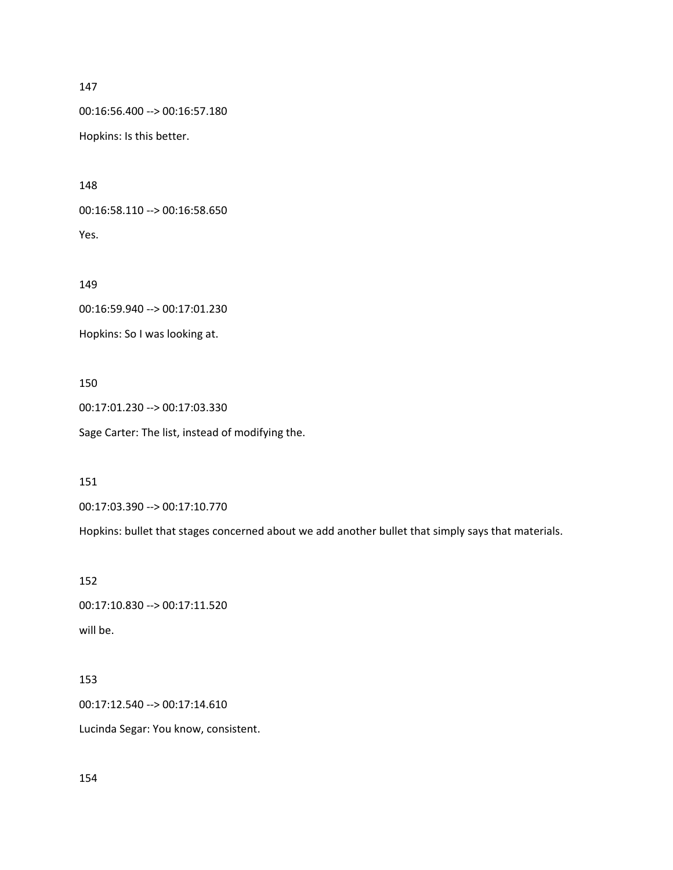```
147
```
00:16:56.400 --> 00:16:57.180

Hopkins: Is this better.

148

00:16:58.110 --> 00:16:58.650 Yes.

149

00:16:59.940 --> 00:17:01.230

Hopkins: So I was looking at.

150

00:17:01.230 --> 00:17:03.330 Sage Carter: The list, instead of modifying the.

151

00:17:03.390 --> 00:17:10.770

Hopkins: bullet that stages concerned about we add another bullet that simply says that materials.

152

00:17:10.830 --> 00:17:11.520 will be.

# 153

00:17:12.540 --> 00:17:14.610

Lucinda Segar: You know, consistent.

154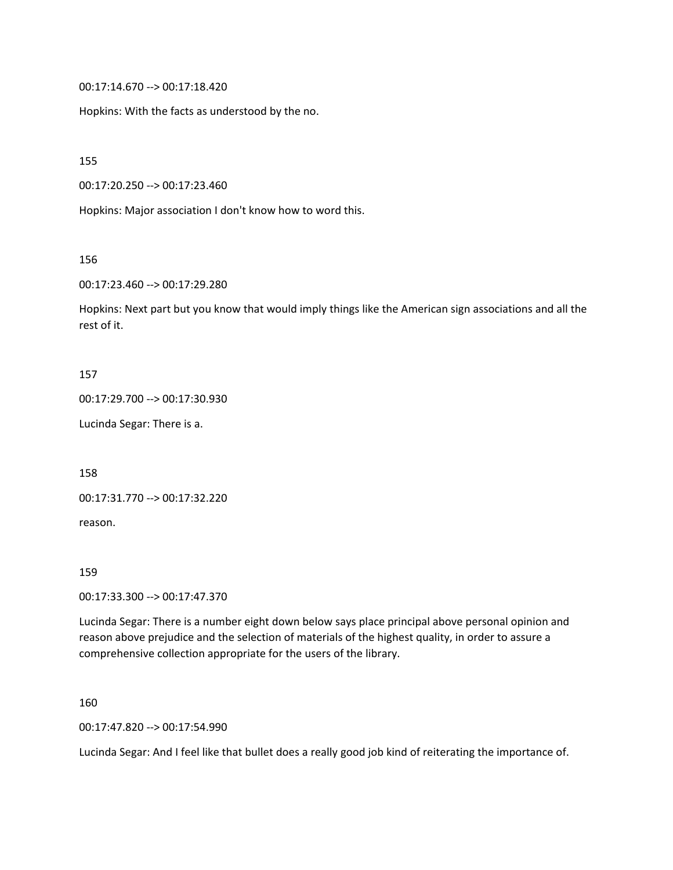00:17:14.670 --> 00:17:18.420

Hopkins: With the facts as understood by the no.

155

00:17:20.250 --> 00:17:23.460

Hopkins: Major association I don't know how to word this.

156

00:17:23.460 --> 00:17:29.280

Hopkins: Next part but you know that would imply things like the American sign associations and all the rest of it.

#### 157

00:17:29.700 --> 00:17:30.930

Lucinda Segar: There is a.

158

00:17:31.770 --> 00:17:32.220

reason.

159

00:17:33.300 --> 00:17:47.370

Lucinda Segar: There is a number eight down below says place principal above personal opinion and reason above prejudice and the selection of materials of the highest quality, in order to assure a comprehensive collection appropriate for the users of the library.

160

00:17:47.820 --> 00:17:54.990

Lucinda Segar: And I feel like that bullet does a really good job kind of reiterating the importance of.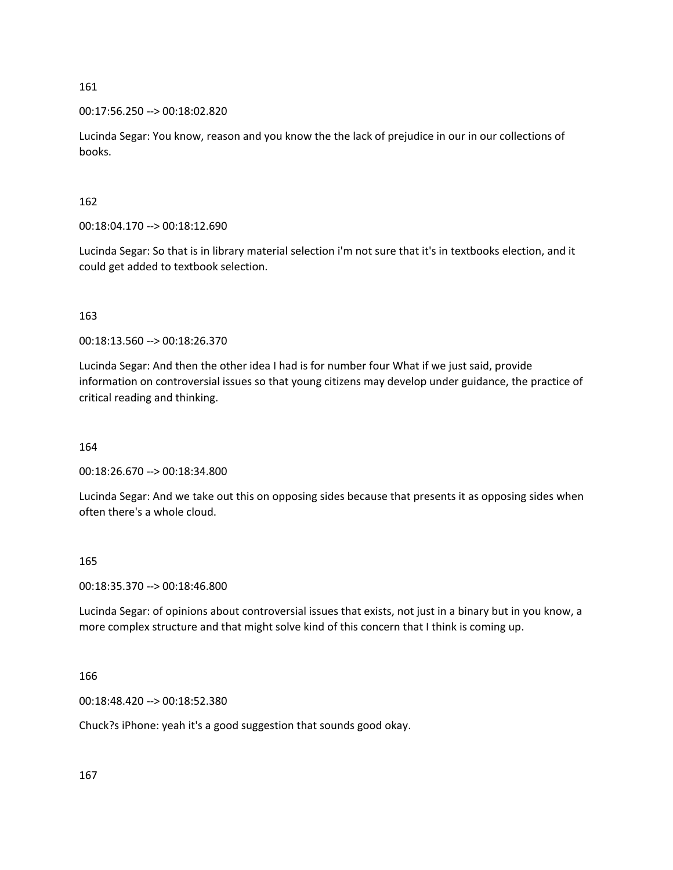00:17:56.250 --> 00:18:02.820

Lucinda Segar: You know, reason and you know the the lack of prejudice in our in our collections of books.

162

00:18:04.170 --> 00:18:12.690

Lucinda Segar: So that is in library material selection i'm not sure that it's in textbooks election, and it could get added to textbook selection.

## 163

00:18:13.560 --> 00:18:26.370

Lucinda Segar: And then the other idea I had is for number four What if we just said, provide information on controversial issues so that young citizens may develop under guidance, the practice of critical reading and thinking.

164

00:18:26.670 --> 00:18:34.800

Lucinda Segar: And we take out this on opposing sides because that presents it as opposing sides when often there's a whole cloud.

#### 165

00:18:35.370 --> 00:18:46.800

Lucinda Segar: of opinions about controversial issues that exists, not just in a binary but in you know, a more complex structure and that might solve kind of this concern that I think is coming up.

# 166

00:18:48.420 --> 00:18:52.380

Chuck?s iPhone: yeah it's a good suggestion that sounds good okay.

167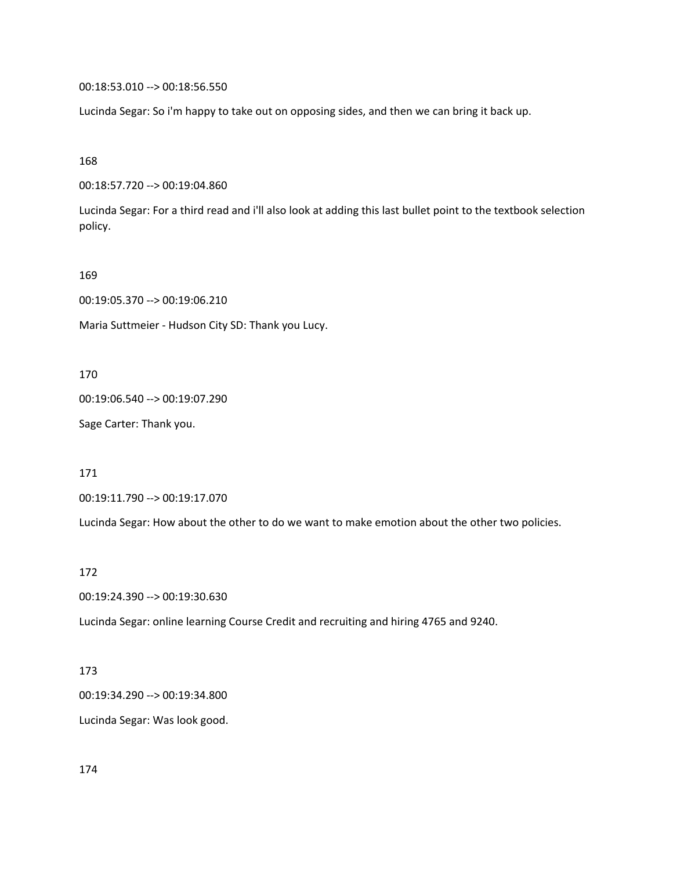00:18:53.010 --> 00:18:56.550

Lucinda Segar: So i'm happy to take out on opposing sides, and then we can bring it back up.

168

00:18:57.720 --> 00:19:04.860

Lucinda Segar: For a third read and i'll also look at adding this last bullet point to the textbook selection policy.

169

00:19:05.370 --> 00:19:06.210

Maria Suttmeier - Hudson City SD: Thank you Lucy.

170

00:19:06.540 --> 00:19:07.290

Sage Carter: Thank you.

171

00:19:11.790 --> 00:19:17.070

Lucinda Segar: How about the other to do we want to make emotion about the other two policies.

172

00:19:24.390 --> 00:19:30.630

Lucinda Segar: online learning Course Credit and recruiting and hiring 4765 and 9240.

173

00:19:34.290 --> 00:19:34.800

Lucinda Segar: Was look good.

174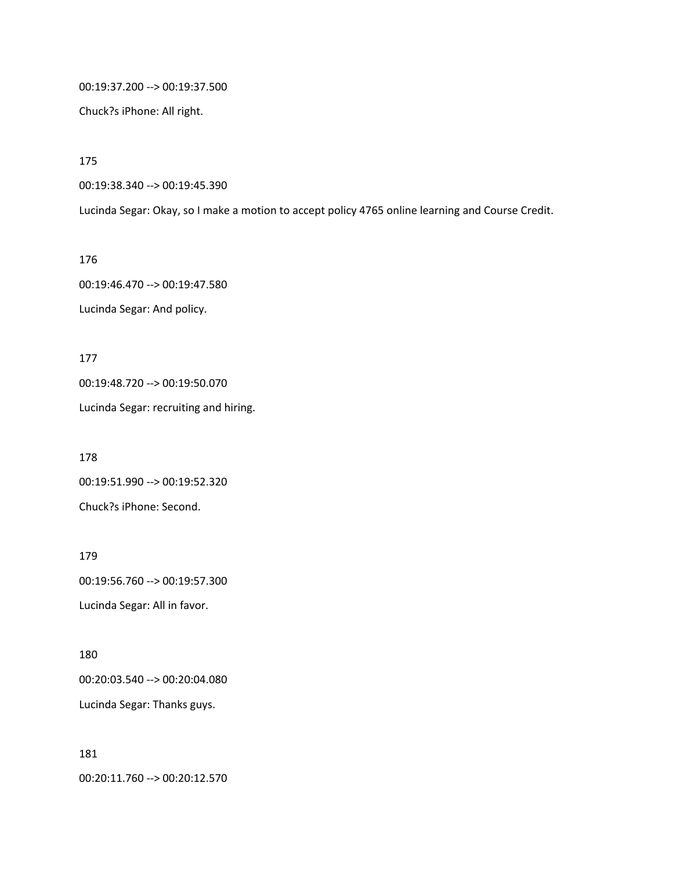00:19:37.200 --> 00:19:37.500

Chuck?s iPhone: All right.

175

00:19:38.340 --> 00:19:45.390

Lucinda Segar: Okay, so I make a motion to accept policy 4765 online learning and Course Credit.

176 00:19:46.470 --> 00:19:47.580 Lucinda Segar: And policy.

177 00:19:48.720 --> 00:19:50.070

Lucinda Segar: recruiting and hiring.

178 00:19:51.990 --> 00:19:52.320 Chuck?s iPhone: Second.

179 00:19:56.760 --> 00:19:57.300 Lucinda Segar: All in favor.

00:20:03.540 --> 00:20:04.080 Lucinda Segar: Thanks guys.

181

180

00:20:11.760 --> 00:20:12.570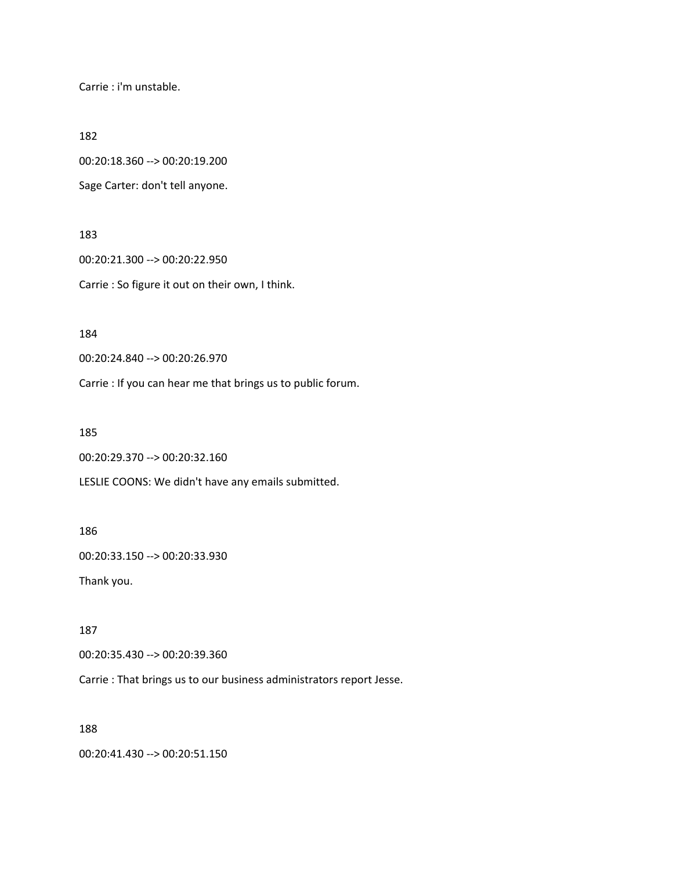Carrie : i'm unstable.

182

00:20:18.360 --> 00:20:19.200

Sage Carter: don't tell anyone.

183

00:20:21.300 --> 00:20:22.950 Carrie : So figure it out on their own, I think.

184

00:20:24.840 --> 00:20:26.970

Carrie : If you can hear me that brings us to public forum.

185

00:20:29.370 --> 00:20:32.160

LESLIE COONS: We didn't have any emails submitted.

186

00:20:33.150 --> 00:20:33.930

Thank you.

187

00:20:35.430 --> 00:20:39.360

Carrie : That brings us to our business administrators report Jesse.

188

00:20:41.430 --> 00:20:51.150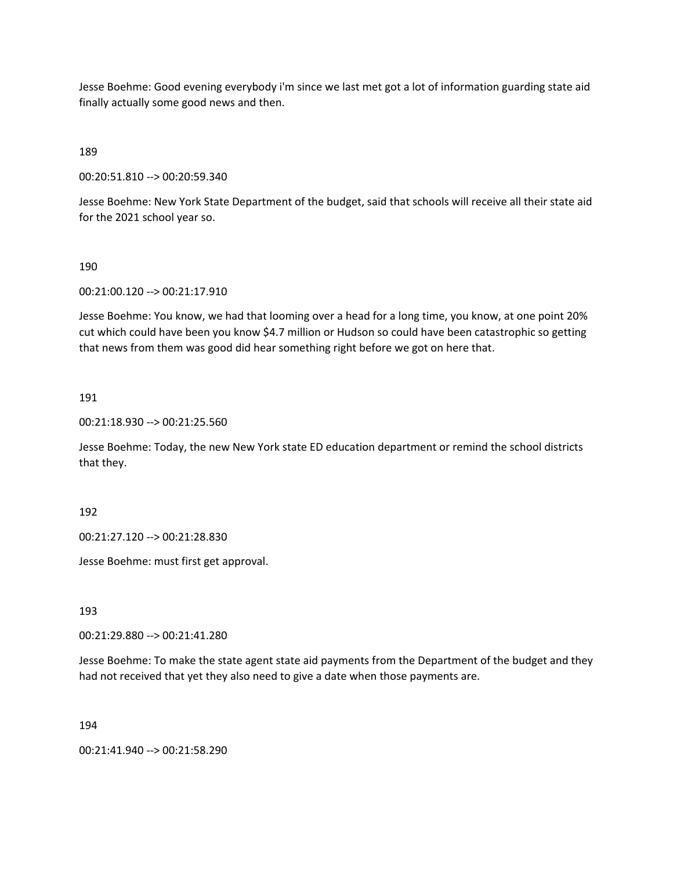Jesse Boehme: Good evening everybody i'm since we last met got a lot of information guarding state aid finally actually some good news and then.

189

00:20:51.810 --> 00:20:59.340

Jesse Boehme: New York State Department of the budget, said that schools will receive all their state aid for the 2021 school year so.

#### 190

00:21:00.120 --> 00:21:17.910

Jesse Boehme: You know, we had that looming over a head for a long time, you know, at one point 20% cut which could have been you know \$4.7 million or Hudson so could have been catastrophic so getting that news from them was good did hear something right before we got on here that.

#### 191

00:21:18.930 --> 00:21:25.560

Jesse Boehme: Today, the new New York state ED education department or remind the school districts that they.

192

00:21:27.120 --> 00:21:28.830

Jesse Boehme: must first get approval.

193

00:21:29.880 --> 00:21:41.280

Jesse Boehme: To make the state agent state aid payments from the Department of the budget and they had not received that yet they also need to give a date when those payments are.

194

00:21:41.940 --> 00:21:58.290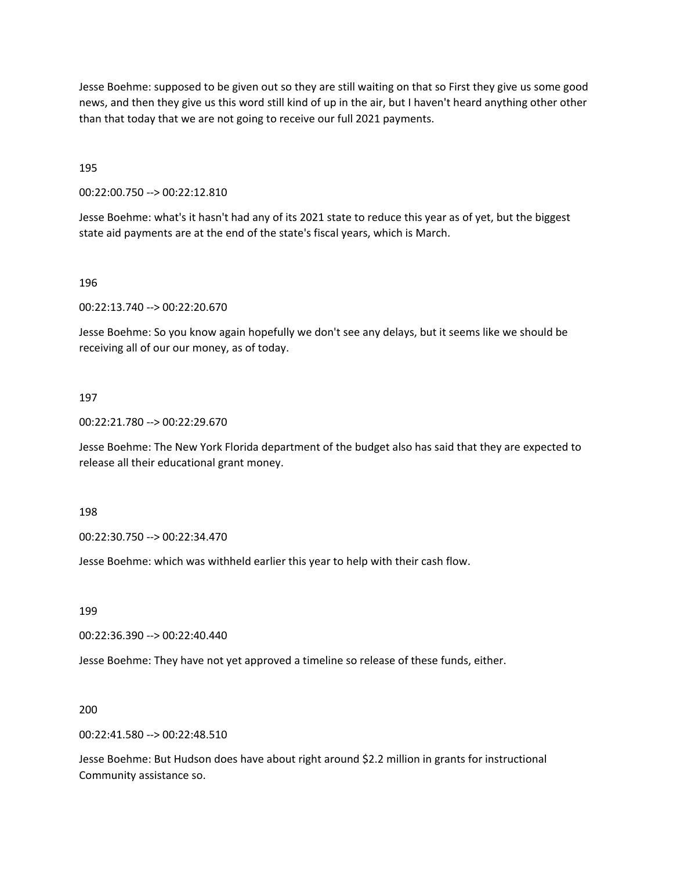Jesse Boehme: supposed to be given out so they are still waiting on that so First they give us some good news, and then they give us this word still kind of up in the air, but I haven't heard anything other other than that today that we are not going to receive our full 2021 payments.

195

00:22:00.750 --> 00:22:12.810

Jesse Boehme: what's it hasn't had any of its 2021 state to reduce this year as of yet, but the biggest state aid payments are at the end of the state's fiscal years, which is March.

196

00:22:13.740 --> 00:22:20.670

Jesse Boehme: So you know again hopefully we don't see any delays, but it seems like we should be receiving all of our our money, as of today.

197

00:22:21.780 --> 00:22:29.670

Jesse Boehme: The New York Florida department of the budget also has said that they are expected to release all their educational grant money.

198

00:22:30.750 --> 00:22:34.470

Jesse Boehme: which was withheld earlier this year to help with their cash flow.

199

00:22:36.390 --> 00:22:40.440

Jesse Boehme: They have not yet approved a timeline so release of these funds, either.

200

00:22:41.580 --> 00:22:48.510

Jesse Boehme: But Hudson does have about right around \$2.2 million in grants for instructional Community assistance so.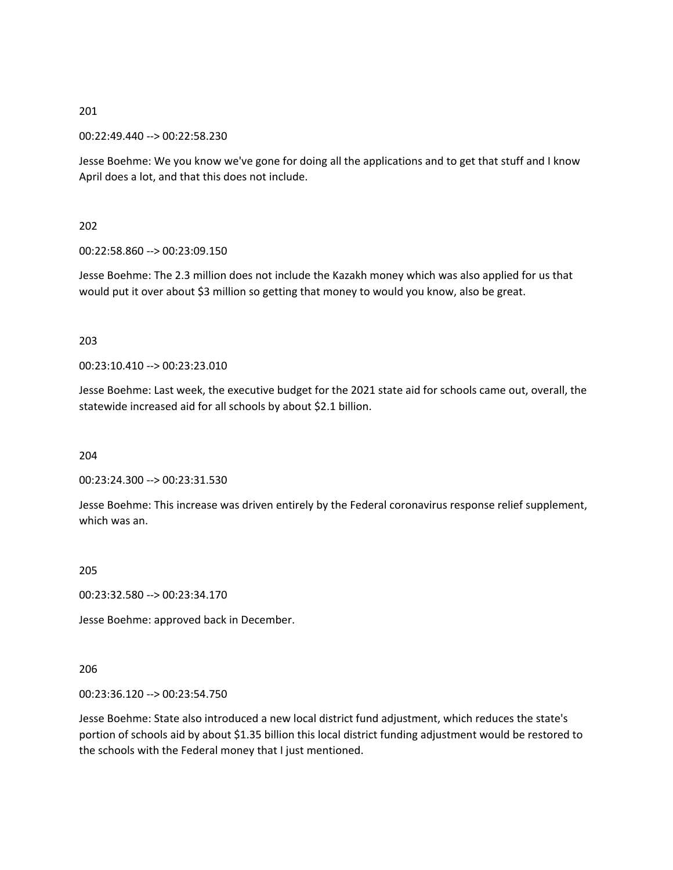00:22:49.440 --> 00:22:58.230

Jesse Boehme: We you know we've gone for doing all the applications and to get that stuff and I know April does a lot, and that this does not include.

## 202

00:22:58.860 --> 00:23:09.150

Jesse Boehme: The 2.3 million does not include the Kazakh money which was also applied for us that would put it over about \$3 million so getting that money to would you know, also be great.

## 203

00:23:10.410 --> 00:23:23.010

Jesse Boehme: Last week, the executive budget for the 2021 state aid for schools came out, overall, the statewide increased aid for all schools by about \$2.1 billion.

204

00:23:24.300 --> 00:23:31.530

Jesse Boehme: This increase was driven entirely by the Federal coronavirus response relief supplement, which was an.

205

00:23:32.580 --> 00:23:34.170

Jesse Boehme: approved back in December.

206

00:23:36.120 --> 00:23:54.750

Jesse Boehme: State also introduced a new local district fund adjustment, which reduces the state's portion of schools aid by about \$1.35 billion this local district funding adjustment would be restored to the schools with the Federal money that I just mentioned.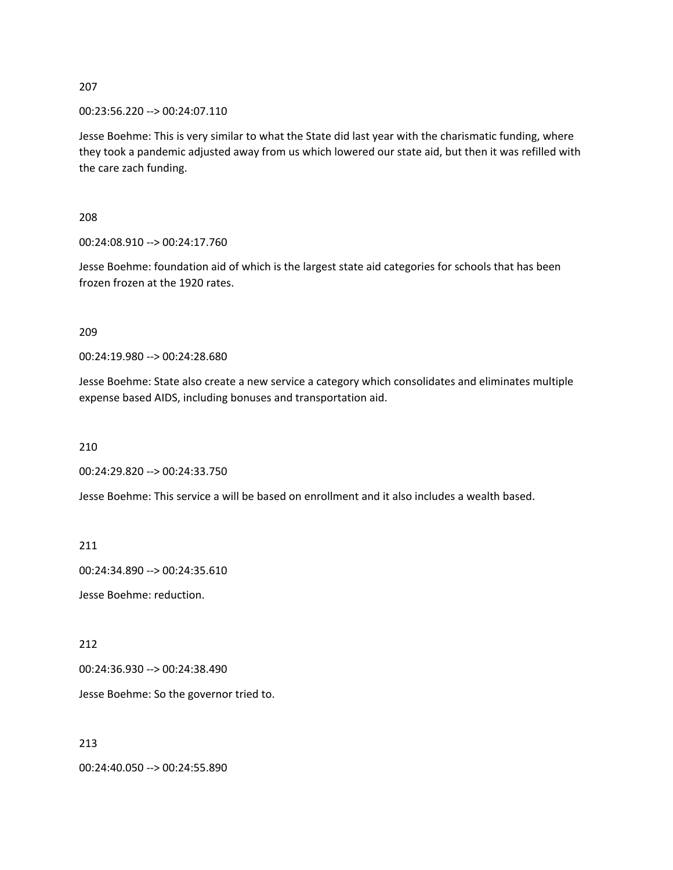00:23:56.220 --> 00:24:07.110

Jesse Boehme: This is very similar to what the State did last year with the charismatic funding, where they took a pandemic adjusted away from us which lowered our state aid, but then it was refilled with the care zach funding.

208

00:24:08.910 --> 00:24:17.760

Jesse Boehme: foundation aid of which is the largest state aid categories for schools that has been frozen frozen at the 1920 rates.

209

00:24:19.980 --> 00:24:28.680

Jesse Boehme: State also create a new service a category which consolidates and eliminates multiple expense based AIDS, including bonuses and transportation aid.

210

00:24:29.820 --> 00:24:33.750

Jesse Boehme: This service a will be based on enrollment and it also includes a wealth based.

211

00:24:34.890 --> 00:24:35.610

Jesse Boehme: reduction.

212

00:24:36.930 --> 00:24:38.490

Jesse Boehme: So the governor tried to.

213

00:24:40.050 --> 00:24:55.890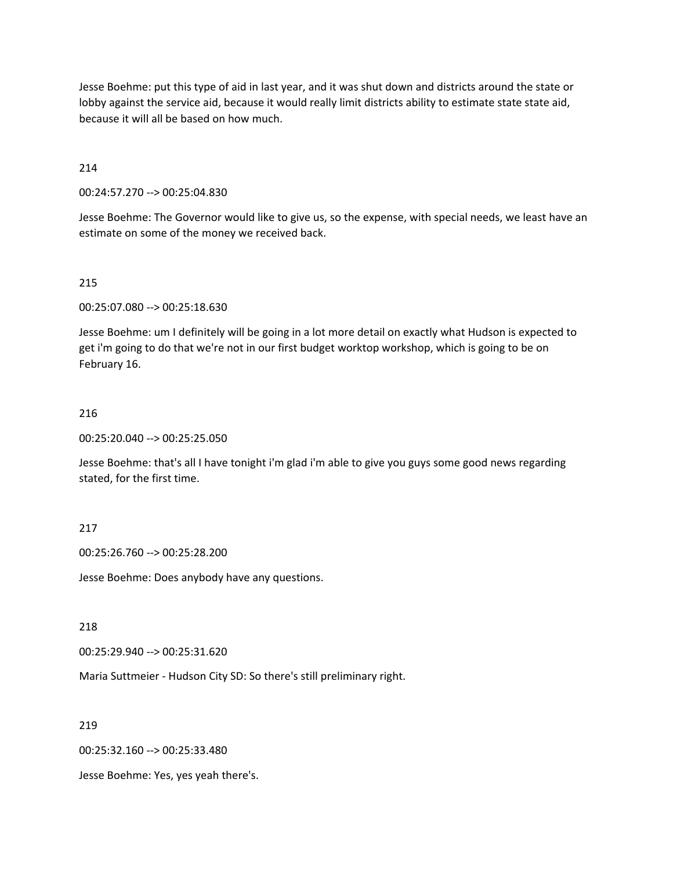Jesse Boehme: put this type of aid in last year, and it was shut down and districts around the state or lobby against the service aid, because it would really limit districts ability to estimate state state aid, because it will all be based on how much.

214

00:24:57.270 --> 00:25:04.830

Jesse Boehme: The Governor would like to give us, so the expense, with special needs, we least have an estimate on some of the money we received back.

# 215

00:25:07.080 --> 00:25:18.630

Jesse Boehme: um I definitely will be going in a lot more detail on exactly what Hudson is expected to get i'm going to do that we're not in our first budget worktop workshop, which is going to be on February 16.

## 216

00:25:20.040 --> 00:25:25.050

Jesse Boehme: that's all I have tonight i'm glad i'm able to give you guys some good news regarding stated, for the first time.

# 217

00:25:26.760 --> 00:25:28.200

Jesse Boehme: Does anybody have any questions.

218

00:25:29.940 --> 00:25:31.620

Maria Suttmeier - Hudson City SD: So there's still preliminary right.

219

00:25:32.160 --> 00:25:33.480

Jesse Boehme: Yes, yes yeah there's.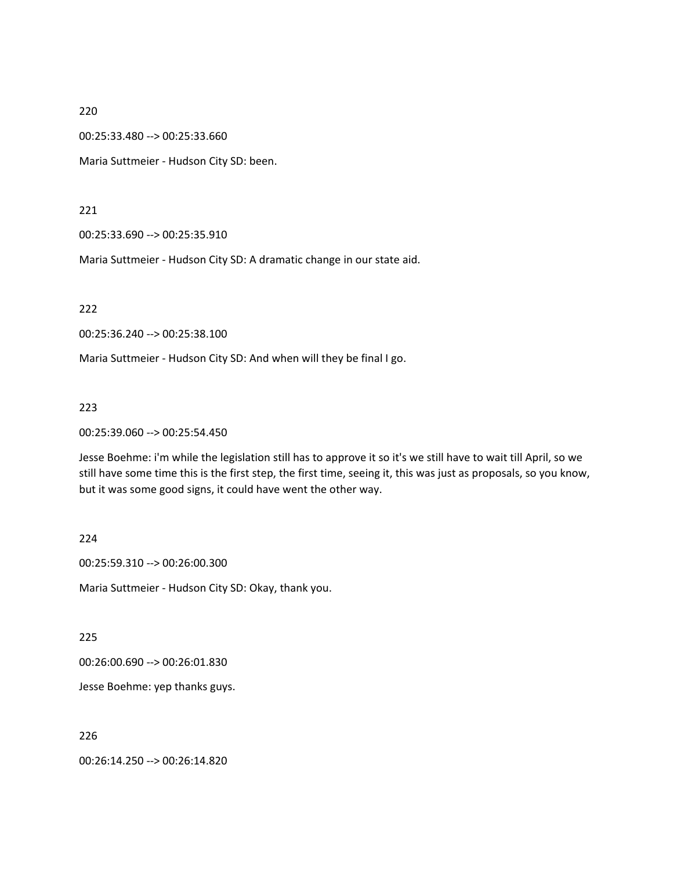00:25:33.480 --> 00:25:33.660

Maria Suttmeier - Hudson City SD: been.

221

00:25:33.690 --> 00:25:35.910

Maria Suttmeier - Hudson City SD: A dramatic change in our state aid.

222

00:25:36.240 --> 00:25:38.100

Maria Suttmeier - Hudson City SD: And when will they be final I go.

223

00:25:39.060 --> 00:25:54.450

Jesse Boehme: i'm while the legislation still has to approve it so it's we still have to wait till April, so we still have some time this is the first step, the first time, seeing it, this was just as proposals, so you know, but it was some good signs, it could have went the other way.

#### 224

00:25:59.310 --> 00:26:00.300

Maria Suttmeier - Hudson City SD: Okay, thank you.

225

00:26:00.690 --> 00:26:01.830

Jesse Boehme: yep thanks guys.

226

00:26:14.250 --> 00:26:14.820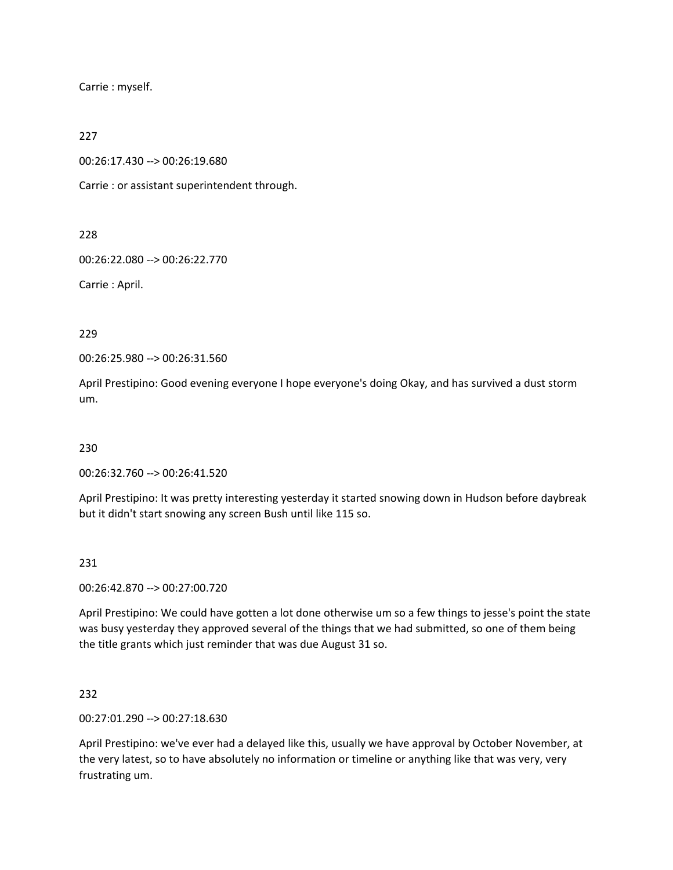Carrie : myself.

#### 227

00:26:17.430 --> 00:26:19.680

Carrie : or assistant superintendent through.

228

00:26:22.080 --> 00:26:22.770

Carrie : April.

229

00:26:25.980 --> 00:26:31.560

April Prestipino: Good evening everyone I hope everyone's doing Okay, and has survived a dust storm um.

230

00:26:32.760 --> 00:26:41.520

April Prestipino: It was pretty interesting yesterday it started snowing down in Hudson before daybreak but it didn't start snowing any screen Bush until like 115 so.

231

00:26:42.870 --> 00:27:00.720

April Prestipino: We could have gotten a lot done otherwise um so a few things to jesse's point the state was busy yesterday they approved several of the things that we had submitted, so one of them being the title grants which just reminder that was due August 31 so.

232

00:27:01.290 --> 00:27:18.630

April Prestipino: we've ever had a delayed like this, usually we have approval by October November, at the very latest, so to have absolutely no information or timeline or anything like that was very, very frustrating um.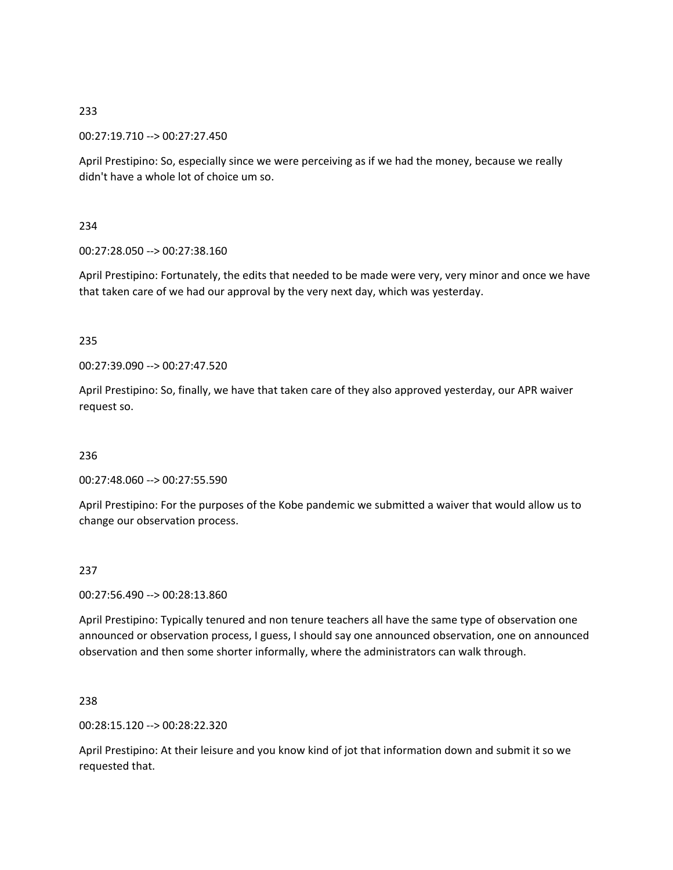00:27:19.710 --> 00:27:27.450

April Prestipino: So, especially since we were perceiving as if we had the money, because we really didn't have a whole lot of choice um so.

# 234

00:27:28.050 --> 00:27:38.160

April Prestipino: Fortunately, the edits that needed to be made were very, very minor and once we have that taken care of we had our approval by the very next day, which was yesterday.

## 235

00:27:39.090 --> 00:27:47.520

April Prestipino: So, finally, we have that taken care of they also approved yesterday, our APR waiver request so.

## 236

00:27:48.060 --> 00:27:55.590

April Prestipino: For the purposes of the Kobe pandemic we submitted a waiver that would allow us to change our observation process.

## 237

00:27:56.490 --> 00:28:13.860

April Prestipino: Typically tenured and non tenure teachers all have the same type of observation one announced or observation process, I guess, I should say one announced observation, one on announced observation and then some shorter informally, where the administrators can walk through.

238

00:28:15.120 --> 00:28:22.320

April Prestipino: At their leisure and you know kind of jot that information down and submit it so we requested that.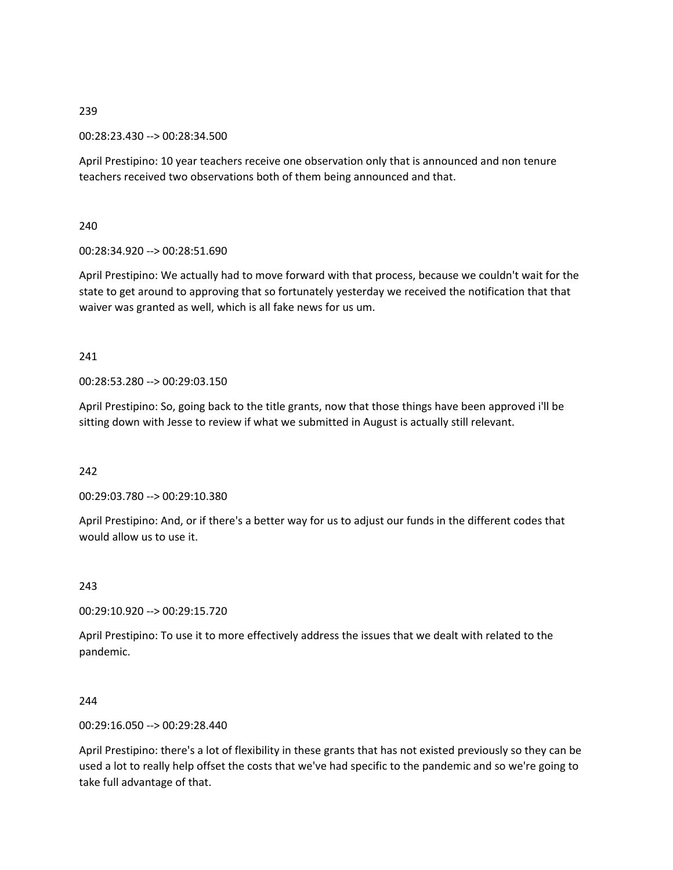00:28:23.430 --> 00:28:34.500

April Prestipino: 10 year teachers receive one observation only that is announced and non tenure teachers received two observations both of them being announced and that.

240

00:28:34.920 --> 00:28:51.690

April Prestipino: We actually had to move forward with that process, because we couldn't wait for the state to get around to approving that so fortunately yesterday we received the notification that that waiver was granted as well, which is all fake news for us um.

241

00:28:53.280 --> 00:29:03.150

April Prestipino: So, going back to the title grants, now that those things have been approved i'll be sitting down with Jesse to review if what we submitted in August is actually still relevant.

242

00:29:03.780 --> 00:29:10.380

April Prestipino: And, or if there's a better way for us to adjust our funds in the different codes that would allow us to use it.

243

00:29:10.920 --> 00:29:15.720

April Prestipino: To use it to more effectively address the issues that we dealt with related to the pandemic.

244

00:29:16.050 --> 00:29:28.440

April Prestipino: there's a lot of flexibility in these grants that has not existed previously so they can be used a lot to really help offset the costs that we've had specific to the pandemic and so we're going to take full advantage of that.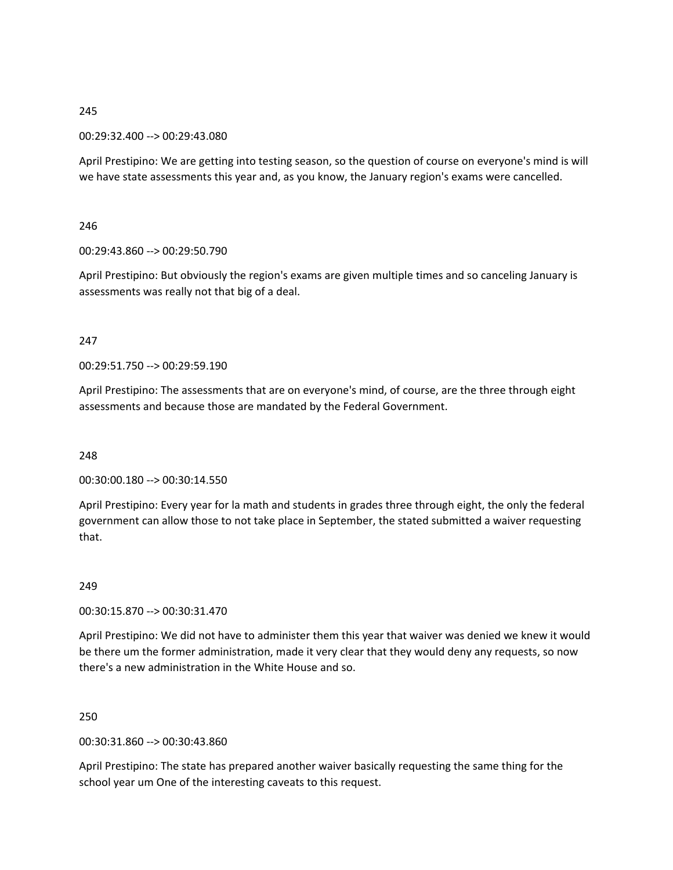#### 00:29:32.400 --> 00:29:43.080

April Prestipino: We are getting into testing season, so the question of course on everyone's mind is will we have state assessments this year and, as you know, the January region's exams were cancelled.

#### 246

#### 00:29:43.860 --> 00:29:50.790

April Prestipino: But obviously the region's exams are given multiple times and so canceling January is assessments was really not that big of a deal.

#### 247

00:29:51.750 --> 00:29:59.190

April Prestipino: The assessments that are on everyone's mind, of course, are the three through eight assessments and because those are mandated by the Federal Government.

#### 248

00:30:00.180 --> 00:30:14.550

April Prestipino: Every year for la math and students in grades three through eight, the only the federal government can allow those to not take place in September, the stated submitted a waiver requesting that.

## 249

00:30:15.870 --> 00:30:31.470

April Prestipino: We did not have to administer them this year that waiver was denied we knew it would be there um the former administration, made it very clear that they would deny any requests, so now there's a new administration in the White House and so.

#### 250

## 00:30:31.860 --> 00:30:43.860

April Prestipino: The state has prepared another waiver basically requesting the same thing for the school year um One of the interesting caveats to this request.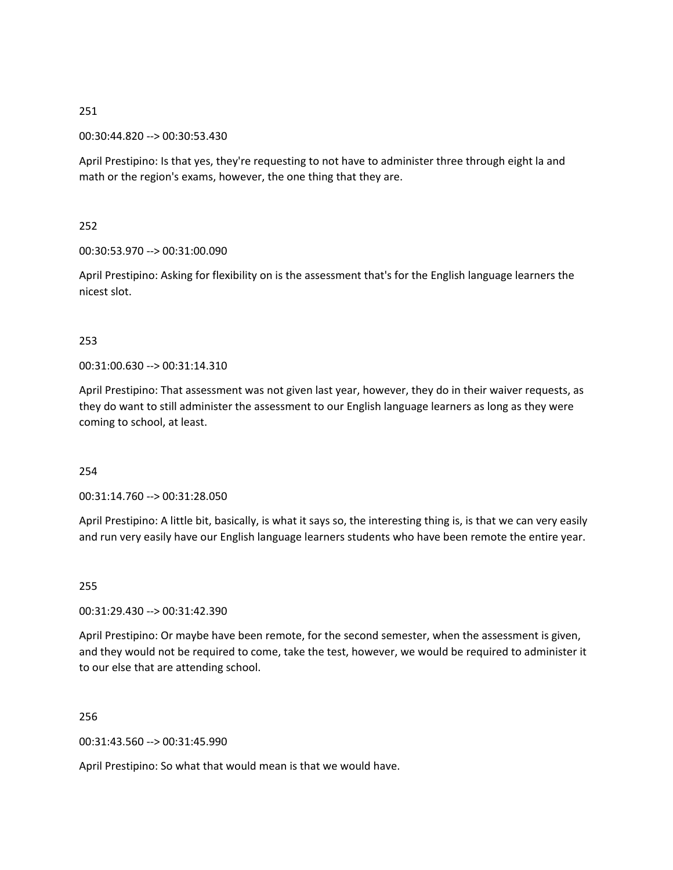00:30:44.820 --> 00:30:53.430

April Prestipino: Is that yes, they're requesting to not have to administer three through eight la and math or the region's exams, however, the one thing that they are.

252

00:30:53.970 --> 00:31:00.090

April Prestipino: Asking for flexibility on is the assessment that's for the English language learners the nicest slot.

# 253

00:31:00.630 --> 00:31:14.310

April Prestipino: That assessment was not given last year, however, they do in their waiver requests, as they do want to still administer the assessment to our English language learners as long as they were coming to school, at least.

## 254

00:31:14.760 --> 00:31:28.050

April Prestipino: A little bit, basically, is what it says so, the interesting thing is, is that we can very easily and run very easily have our English language learners students who have been remote the entire year.

255

00:31:29.430 --> 00:31:42.390

April Prestipino: Or maybe have been remote, for the second semester, when the assessment is given, and they would not be required to come, take the test, however, we would be required to administer it to our else that are attending school.

256

00:31:43.560 --> 00:31:45.990

April Prestipino: So what that would mean is that we would have.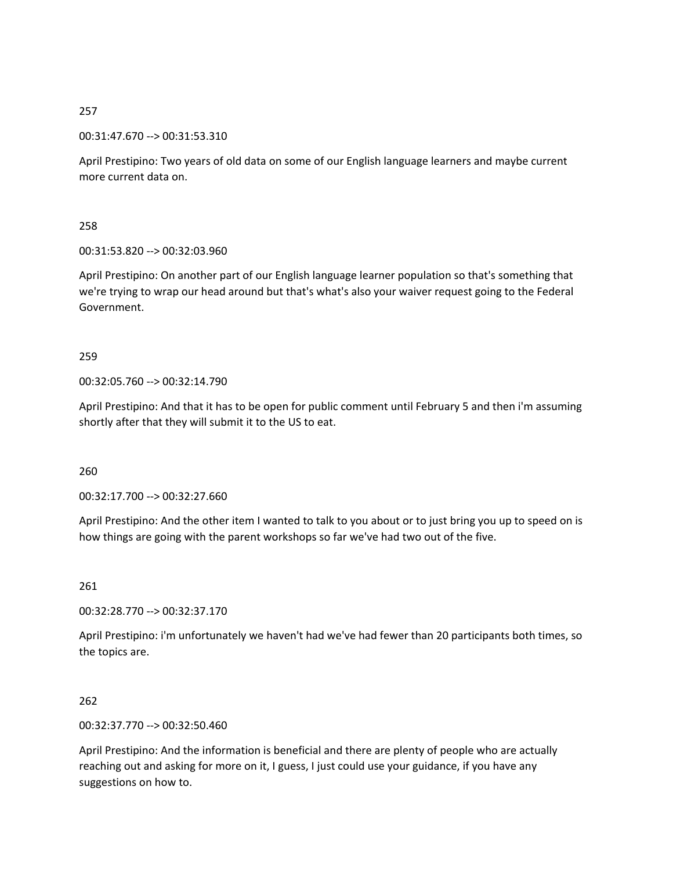00:31:47.670 --> 00:31:53.310

April Prestipino: Two years of old data on some of our English language learners and maybe current more current data on.

258

00:31:53.820 --> 00:32:03.960

April Prestipino: On another part of our English language learner population so that's something that we're trying to wrap our head around but that's what's also your waiver request going to the Federal Government.

259

00:32:05.760 --> 00:32:14.790

April Prestipino: And that it has to be open for public comment until February 5 and then i'm assuming shortly after that they will submit it to the US to eat.

260

00:32:17.700 --> 00:32:27.660

April Prestipino: And the other item I wanted to talk to you about or to just bring you up to speed on is how things are going with the parent workshops so far we've had two out of the five.

261

00:32:28.770 --> 00:32:37.170

April Prestipino: i'm unfortunately we haven't had we've had fewer than 20 participants both times, so the topics are.

262

00:32:37.770 --> 00:32:50.460

April Prestipino: And the information is beneficial and there are plenty of people who are actually reaching out and asking for more on it, I guess, I just could use your guidance, if you have any suggestions on how to.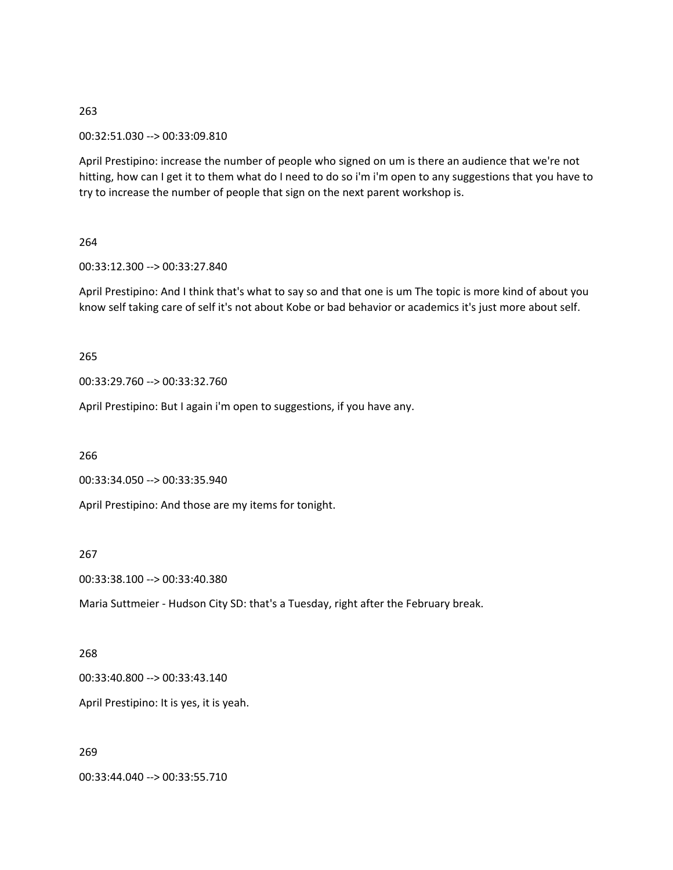00:32:51.030 --> 00:33:09.810

April Prestipino: increase the number of people who signed on um is there an audience that we're not hitting, how can I get it to them what do I need to do so i'm i'm open to any suggestions that you have to try to increase the number of people that sign on the next parent workshop is.

## 264

00:33:12.300 --> 00:33:27.840

April Prestipino: And I think that's what to say so and that one is um The topic is more kind of about you know self taking care of self it's not about Kobe or bad behavior or academics it's just more about self.

#### 265

00:33:29.760 --> 00:33:32.760

April Prestipino: But I again i'm open to suggestions, if you have any.

266

00:33:34.050 --> 00:33:35.940

April Prestipino: And those are my items for tonight.

#### 267

00:33:38.100 --> 00:33:40.380

Maria Suttmeier - Hudson City SD: that's a Tuesday, right after the February break.

# 268

00:33:40.800 --> 00:33:43.140

April Prestipino: It is yes, it is yeah.

## 269

00:33:44.040 --> 00:33:55.710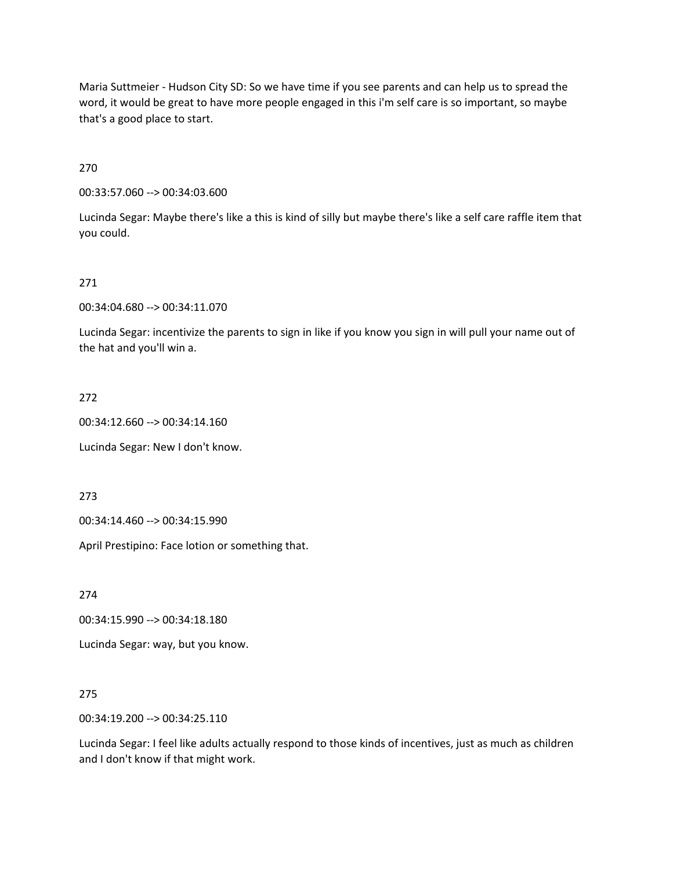Maria Suttmeier - Hudson City SD: So we have time if you see parents and can help us to spread the word, it would be great to have more people engaged in this i'm self care is so important, so maybe that's a good place to start.

270

00:33:57.060 --> 00:34:03.600

Lucinda Segar: Maybe there's like a this is kind of silly but maybe there's like a self care raffle item that you could.

271

00:34:04.680 --> 00:34:11.070

Lucinda Segar: incentivize the parents to sign in like if you know you sign in will pull your name out of the hat and you'll win a.

272

00:34:12.660 --> 00:34:14.160

Lucinda Segar: New I don't know.

273

00:34:14.460 --> 00:34:15.990

April Prestipino: Face lotion or something that.

274

00:34:15.990 --> 00:34:18.180

Lucinda Segar: way, but you know.

275

00:34:19.200 --> 00:34:25.110

Lucinda Segar: I feel like adults actually respond to those kinds of incentives, just as much as children and I don't know if that might work.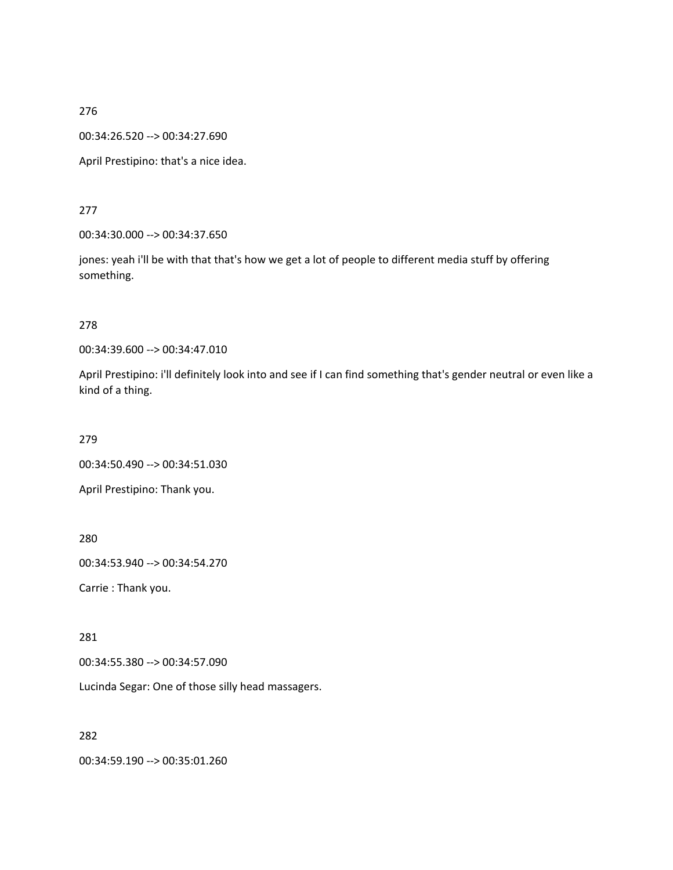00:34:26.520 --> 00:34:27.690

April Prestipino: that's a nice idea.

277

00:34:30.000 --> 00:34:37.650

jones: yeah i'll be with that that's how we get a lot of people to different media stuff by offering something.

278

00:34:39.600 --> 00:34:47.010

April Prestipino: i'll definitely look into and see if I can find something that's gender neutral or even like a kind of a thing.

279

00:34:50.490 --> 00:34:51.030

April Prestipino: Thank you.

280

00:34:53.940 --> 00:34:54.270

Carrie : Thank you.

281

00:34:55.380 --> 00:34:57.090

Lucinda Segar: One of those silly head massagers.

282

00:34:59.190 --> 00:35:01.260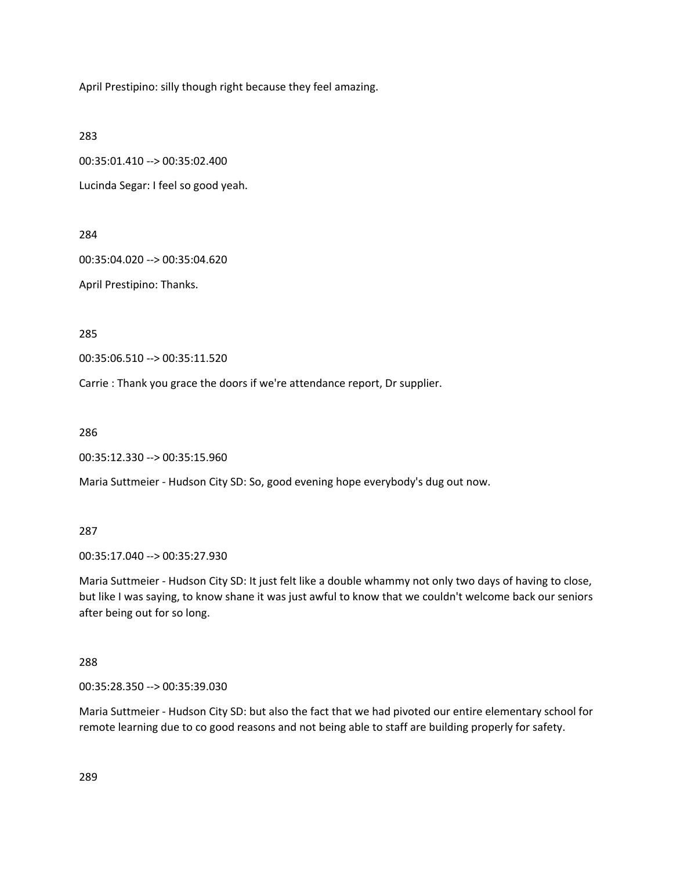April Prestipino: silly though right because they feel amazing.

283

00:35:01.410 --> 00:35:02.400

Lucinda Segar: I feel so good yeah.

284

00:35:04.020 --> 00:35:04.620

April Prestipino: Thanks.

285

00:35:06.510 --> 00:35:11.520

Carrie : Thank you grace the doors if we're attendance report, Dr supplier.

286

00:35:12.330 --> 00:35:15.960

Maria Suttmeier - Hudson City SD: So, good evening hope everybody's dug out now.

287

00:35:17.040 --> 00:35:27.930

Maria Suttmeier - Hudson City SD: It just felt like a double whammy not only two days of having to close, but like I was saying, to know shane it was just awful to know that we couldn't welcome back our seniors after being out for so long.

288

00:35:28.350 --> 00:35:39.030

Maria Suttmeier - Hudson City SD: but also the fact that we had pivoted our entire elementary school for remote learning due to co good reasons and not being able to staff are building properly for safety.

289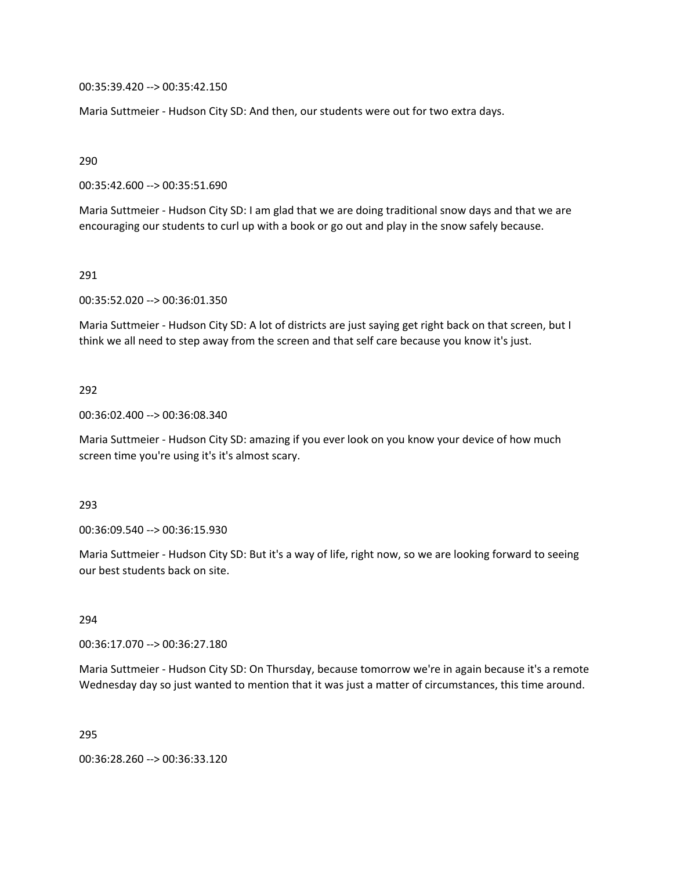00:35:39.420 --> 00:35:42.150

Maria Suttmeier - Hudson City SD: And then, our students were out for two extra days.

290

00:35:42.600 --> 00:35:51.690

Maria Suttmeier - Hudson City SD: I am glad that we are doing traditional snow days and that we are encouraging our students to curl up with a book or go out and play in the snow safely because.

291

00:35:52.020 --> 00:36:01.350

Maria Suttmeier - Hudson City SD: A lot of districts are just saying get right back on that screen, but I think we all need to step away from the screen and that self care because you know it's just.

#### 292

00:36:02.400 --> 00:36:08.340

Maria Suttmeier - Hudson City SD: amazing if you ever look on you know your device of how much screen time you're using it's it's almost scary.

#### 293

00:36:09.540 --> 00:36:15.930

Maria Suttmeier - Hudson City SD: But it's a way of life, right now, so we are looking forward to seeing our best students back on site.

294

00:36:17.070 --> 00:36:27.180

Maria Suttmeier - Hudson City SD: On Thursday, because tomorrow we're in again because it's a remote Wednesday day so just wanted to mention that it was just a matter of circumstances, this time around.

295

00:36:28.260 --> 00:36:33.120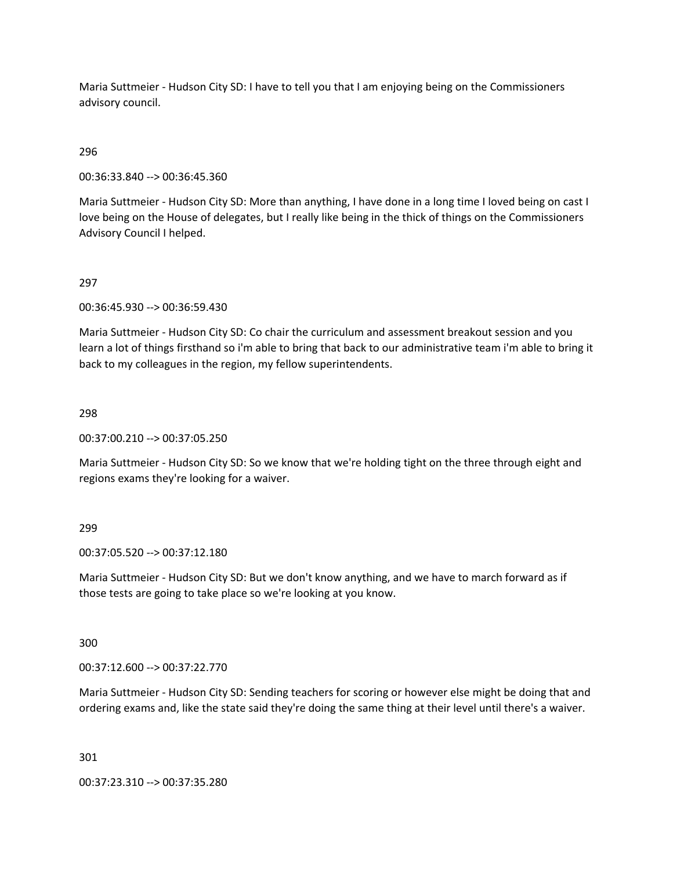Maria Suttmeier - Hudson City SD: I have to tell you that I am enjoying being on the Commissioners advisory council.

# 296

00:36:33.840 --> 00:36:45.360

Maria Suttmeier - Hudson City SD: More than anything, I have done in a long time I loved being on cast I love being on the House of delegates, but I really like being in the thick of things on the Commissioners Advisory Council I helped.

## 297

00:36:45.930 --> 00:36:59.430

Maria Suttmeier - Hudson City SD: Co chair the curriculum and assessment breakout session and you learn a lot of things firsthand so i'm able to bring that back to our administrative team i'm able to bring it back to my colleagues in the region, my fellow superintendents.

#### 298

00:37:00.210 --> 00:37:05.250

Maria Suttmeier - Hudson City SD: So we know that we're holding tight on the three through eight and regions exams they're looking for a waiver.

## 299

00:37:05.520 --> 00:37:12.180

Maria Suttmeier - Hudson City SD: But we don't know anything, and we have to march forward as if those tests are going to take place so we're looking at you know.

#### 300

00:37:12.600 --> 00:37:22.770

Maria Suttmeier - Hudson City SD: Sending teachers for scoring or however else might be doing that and ordering exams and, like the state said they're doing the same thing at their level until there's a waiver.

301

00:37:23.310 --> 00:37:35.280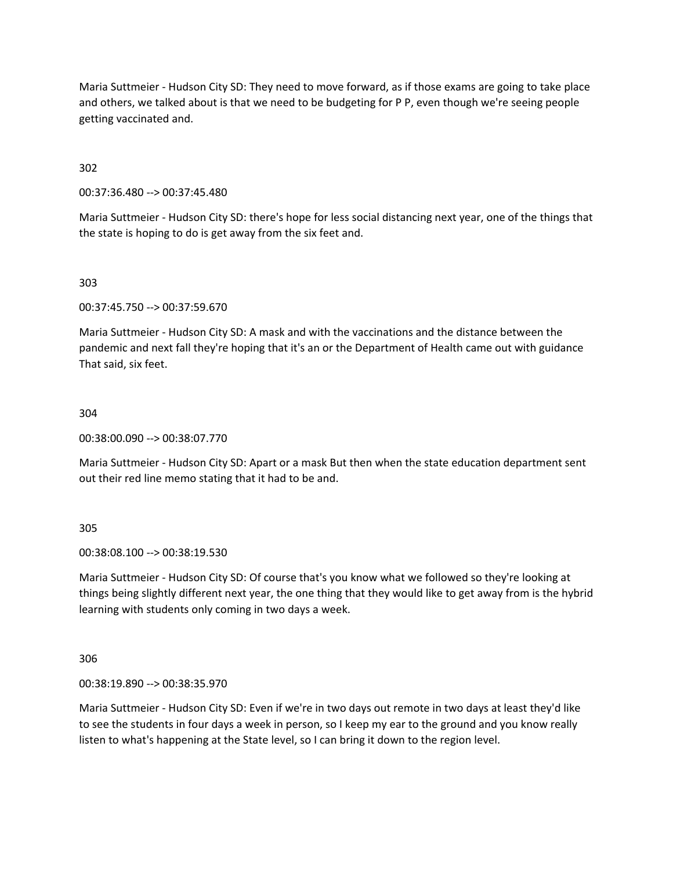Maria Suttmeier - Hudson City SD: They need to move forward, as if those exams are going to take place and others, we talked about is that we need to be budgeting for P P, even though we're seeing people getting vaccinated and.

302

00:37:36.480 --> 00:37:45.480

Maria Suttmeier - Hudson City SD: there's hope for less social distancing next year, one of the things that the state is hoping to do is get away from the six feet and.

303

00:37:45.750 --> 00:37:59.670

Maria Suttmeier - Hudson City SD: A mask and with the vaccinations and the distance between the pandemic and next fall they're hoping that it's an or the Department of Health came out with guidance That said, six feet.

304

00:38:00.090 --> 00:38:07.770

Maria Suttmeier - Hudson City SD: Apart or a mask But then when the state education department sent out their red line memo stating that it had to be and.

305

00:38:08.100 --> 00:38:19.530

Maria Suttmeier - Hudson City SD: Of course that's you know what we followed so they're looking at things being slightly different next year, the one thing that they would like to get away from is the hybrid learning with students only coming in two days a week.

306

00:38:19.890 --> 00:38:35.970

Maria Suttmeier - Hudson City SD: Even if we're in two days out remote in two days at least they'd like to see the students in four days a week in person, so I keep my ear to the ground and you know really listen to what's happening at the State level, so I can bring it down to the region level.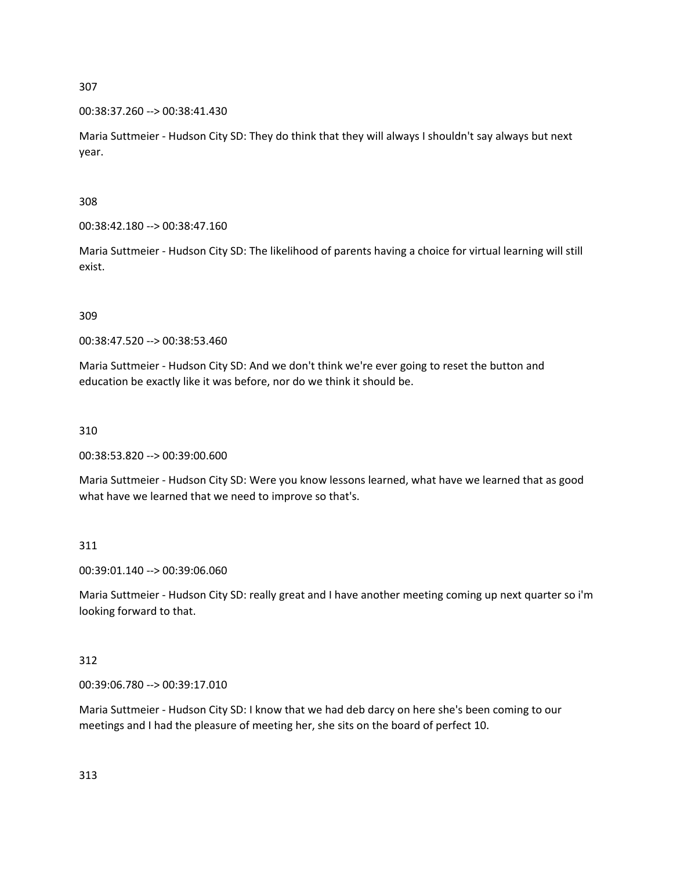00:38:37.260 --> 00:38:41.430

Maria Suttmeier - Hudson City SD: They do think that they will always I shouldn't say always but next year.

308

00:38:42.180 --> 00:38:47.160

Maria Suttmeier - Hudson City SD: The likelihood of parents having a choice for virtual learning will still exist.

309

00:38:47.520 --> 00:38:53.460

Maria Suttmeier - Hudson City SD: And we don't think we're ever going to reset the button and education be exactly like it was before, nor do we think it should be.

310

00:38:53.820 --> 00:39:00.600

Maria Suttmeier - Hudson City SD: Were you know lessons learned, what have we learned that as good what have we learned that we need to improve so that's.

311

00:39:01.140 --> 00:39:06.060

Maria Suttmeier - Hudson City SD: really great and I have another meeting coming up next quarter so i'm looking forward to that.

312

00:39:06.780 --> 00:39:17.010

Maria Suttmeier - Hudson City SD: I know that we had deb darcy on here she's been coming to our meetings and I had the pleasure of meeting her, she sits on the board of perfect 10.

313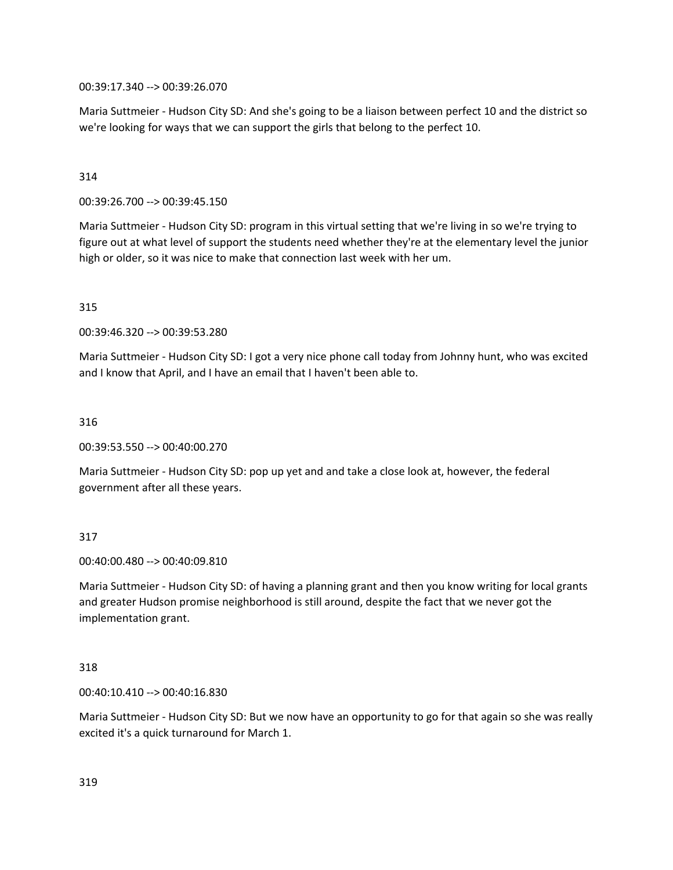00:39:17.340 --> 00:39:26.070

Maria Suttmeier - Hudson City SD: And she's going to be a liaison between perfect 10 and the district so we're looking for ways that we can support the girls that belong to the perfect 10.

### 314

00:39:26.700 --> 00:39:45.150

Maria Suttmeier - Hudson City SD: program in this virtual setting that we're living in so we're trying to figure out at what level of support the students need whether they're at the elementary level the junior high or older, so it was nice to make that connection last week with her um.

#### 315

00:39:46.320 --> 00:39:53.280

Maria Suttmeier - Hudson City SD: I got a very nice phone call today from Johnny hunt, who was excited and I know that April, and I have an email that I haven't been able to.

#### 316

00:39:53.550 --> 00:40:00.270

Maria Suttmeier - Hudson City SD: pop up yet and and take a close look at, however, the federal government after all these years.

#### 317

00:40:00.480 --> 00:40:09.810

Maria Suttmeier - Hudson City SD: of having a planning grant and then you know writing for local grants and greater Hudson promise neighborhood is still around, despite the fact that we never got the implementation grant.

#### 318

00:40:10.410 --> 00:40:16.830

Maria Suttmeier - Hudson City SD: But we now have an opportunity to go for that again so she was really excited it's a quick turnaround for March 1.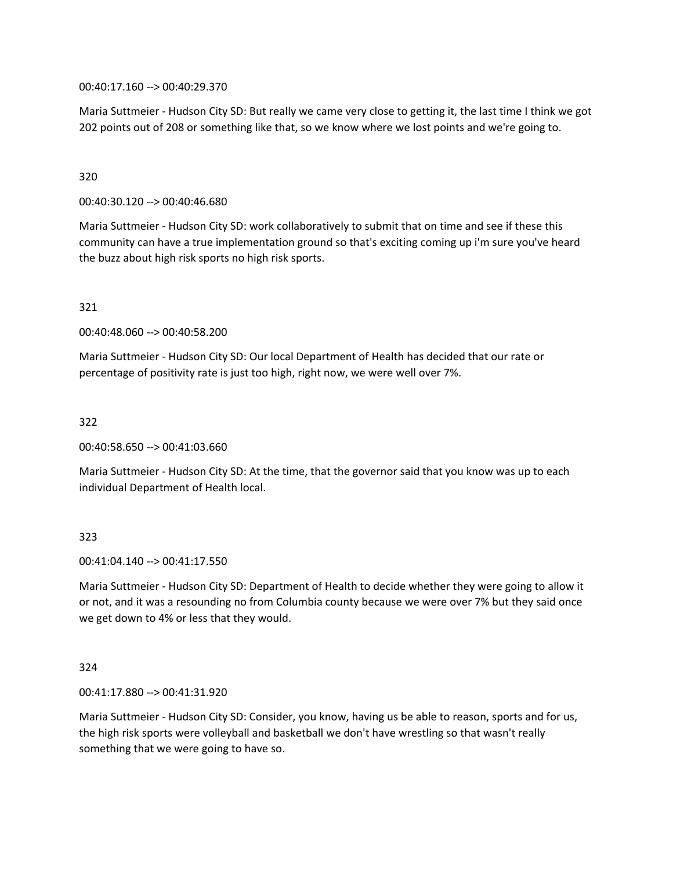00:40:17.160 --> 00:40:29.370

Maria Suttmeier - Hudson City SD: But really we came very close to getting it, the last time I think we got 202 points out of 208 or something like that, so we know where we lost points and we're going to.

### 320

00:40:30.120 --> 00:40:46.680

Maria Suttmeier - Hudson City SD: work collaboratively to submit that on time and see if these this community can have a true implementation ground so that's exciting coming up i'm sure you've heard the buzz about high risk sports no high risk sports.

#### 321

00:40:48.060 --> 00:40:58.200

Maria Suttmeier - Hudson City SD: Our local Department of Health has decided that our rate or percentage of positivity rate is just too high, right now, we were well over 7%.

#### 322

00:40:58.650 --> 00:41:03.660

Maria Suttmeier - Hudson City SD: At the time, that the governor said that you know was up to each individual Department of Health local.

## 323

00:41:04.140 --> 00:41:17.550

Maria Suttmeier - Hudson City SD: Department of Health to decide whether they were going to allow it or not, and it was a resounding no from Columbia county because we were over 7% but they said once we get down to 4% or less that they would.

#### 324

00:41:17.880 --> 00:41:31.920

Maria Suttmeier - Hudson City SD: Consider, you know, having us be able to reason, sports and for us, the high risk sports were volleyball and basketball we don't have wrestling so that wasn't really something that we were going to have so.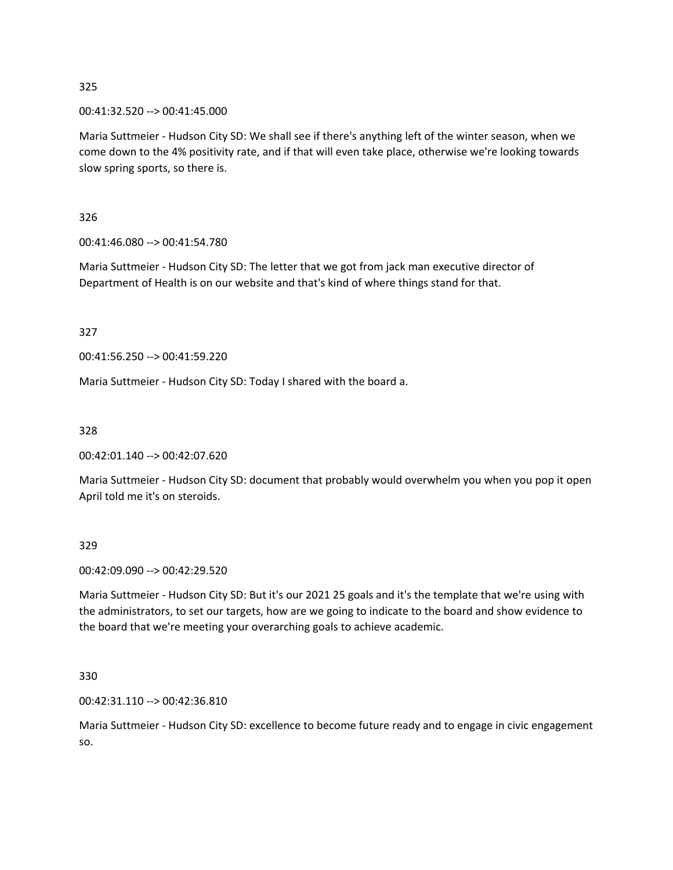00:41:32.520 --> 00:41:45.000

Maria Suttmeier - Hudson City SD: We shall see if there's anything left of the winter season, when we come down to the 4% positivity rate, and if that will even take place, otherwise we're looking towards slow spring sports, so there is.

326

00:41:46.080 --> 00:41:54.780

Maria Suttmeier - Hudson City SD: The letter that we got from jack man executive director of Department of Health is on our website and that's kind of where things stand for that.

327

00:41:56.250 --> 00:41:59.220

Maria Suttmeier - Hudson City SD: Today I shared with the board a.

328

00:42:01.140 --> 00:42:07.620

Maria Suttmeier - Hudson City SD: document that probably would overwhelm you when you pop it open April told me it's on steroids.

329

00:42:09.090 --> 00:42:29.520

Maria Suttmeier - Hudson City SD: But it's our 2021 25 goals and it's the template that we're using with the administrators, to set our targets, how are we going to indicate to the board and show evidence to the board that we're meeting your overarching goals to achieve academic.

330

00:42:31.110 --> 00:42:36.810

Maria Suttmeier - Hudson City SD: excellence to become future ready and to engage in civic engagement so.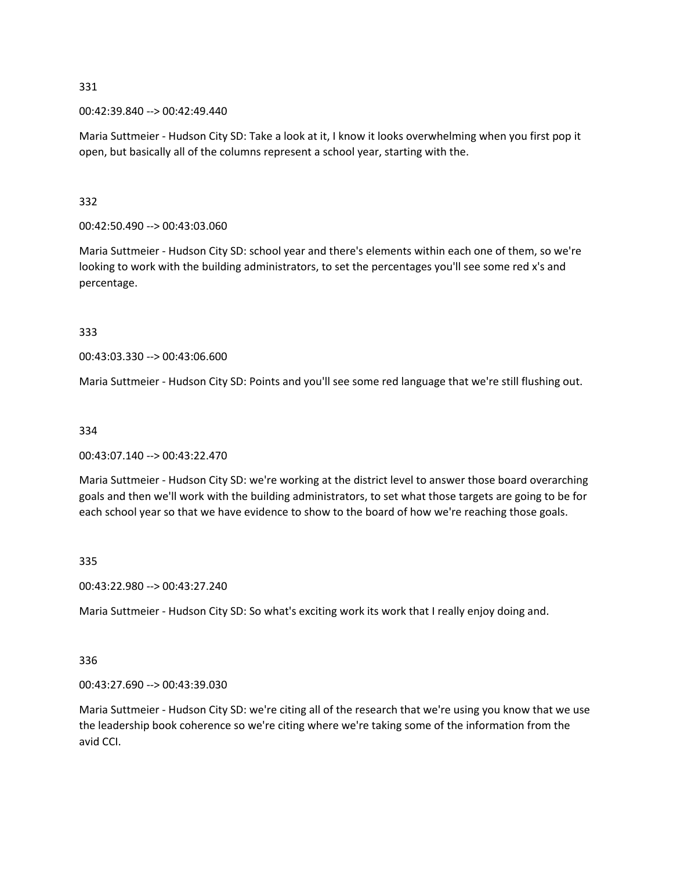00:42:39.840 --> 00:42:49.440

Maria Suttmeier - Hudson City SD: Take a look at it, I know it looks overwhelming when you first pop it open, but basically all of the columns represent a school year, starting with the.

## 332

00:42:50.490 --> 00:43:03.060

Maria Suttmeier - Hudson City SD: school year and there's elements within each one of them, so we're looking to work with the building administrators, to set the percentages you'll see some red x's and percentage.

## 333

00:43:03.330 --> 00:43:06.600

Maria Suttmeier - Hudson City SD: Points and you'll see some red language that we're still flushing out.

## 334

00:43:07.140 --> 00:43:22.470

Maria Suttmeier - Hudson City SD: we're working at the district level to answer those board overarching goals and then we'll work with the building administrators, to set what those targets are going to be for each school year so that we have evidence to show to the board of how we're reaching those goals.

## 335

00:43:22.980 --> 00:43:27.240

Maria Suttmeier - Hudson City SD: So what's exciting work its work that I really enjoy doing and.

## 336

00:43:27.690 --> 00:43:39.030

Maria Suttmeier - Hudson City SD: we're citing all of the research that we're using you know that we use the leadership book coherence so we're citing where we're taking some of the information from the avid CCI.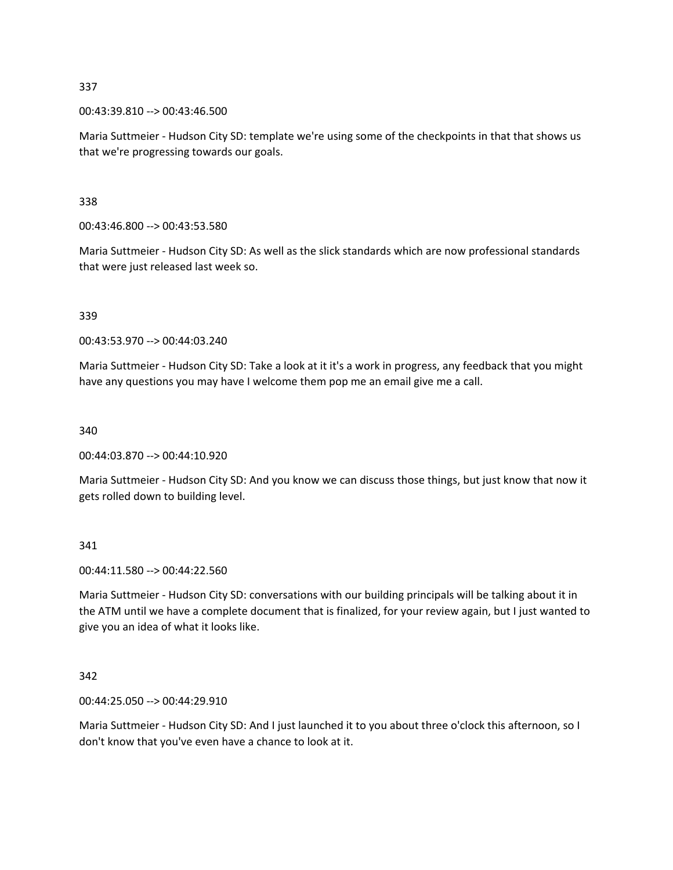00:43:39.810 --> 00:43:46.500

Maria Suttmeier - Hudson City SD: template we're using some of the checkpoints in that that shows us that we're progressing towards our goals.

338

00:43:46.800 --> 00:43:53.580

Maria Suttmeier - Hudson City SD: As well as the slick standards which are now professional standards that were just released last week so.

#### 339

00:43:53.970 --> 00:44:03.240

Maria Suttmeier - Hudson City SD: Take a look at it it's a work in progress, any feedback that you might have any questions you may have I welcome them pop me an email give me a call.

340

00:44:03.870 --> 00:44:10.920

Maria Suttmeier - Hudson City SD: And you know we can discuss those things, but just know that now it gets rolled down to building level.

341

00:44:11.580 --> 00:44:22.560

Maria Suttmeier - Hudson City SD: conversations with our building principals will be talking about it in the ATM until we have a complete document that is finalized, for your review again, but I just wanted to give you an idea of what it looks like.

### 342

00:44:25.050 --> 00:44:29.910

Maria Suttmeier - Hudson City SD: And I just launched it to you about three o'clock this afternoon, so I don't know that you've even have a chance to look at it.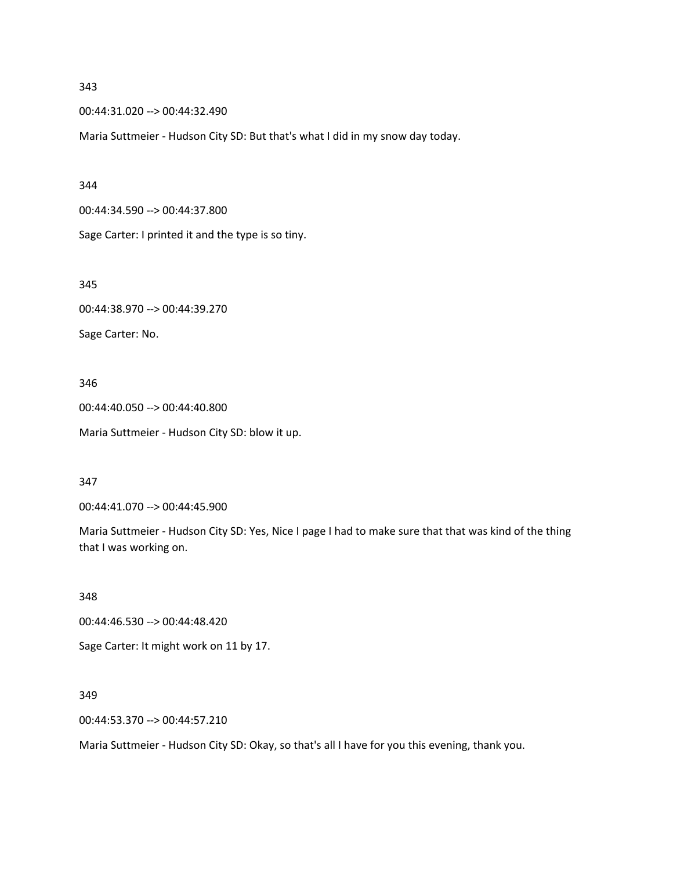00:44:31.020 --> 00:44:32.490

Maria Suttmeier - Hudson City SD: But that's what I did in my snow day today.

#### 344

00:44:34.590 --> 00:44:37.800

Sage Carter: I printed it and the type is so tiny.

345

00:44:38.970 --> 00:44:39.270

Sage Carter: No.

346

00:44:40.050 --> 00:44:40.800 Maria Suttmeier - Hudson City SD: blow it up.

347

00:44:41.070 --> 00:44:45.900

Maria Suttmeier - Hudson City SD: Yes, Nice I page I had to make sure that that was kind of the thing that I was working on.

348

00:44:46.530 --> 00:44:48.420

Sage Carter: It might work on 11 by 17.

349

00:44:53.370 --> 00:44:57.210

Maria Suttmeier - Hudson City SD: Okay, so that's all I have for you this evening, thank you.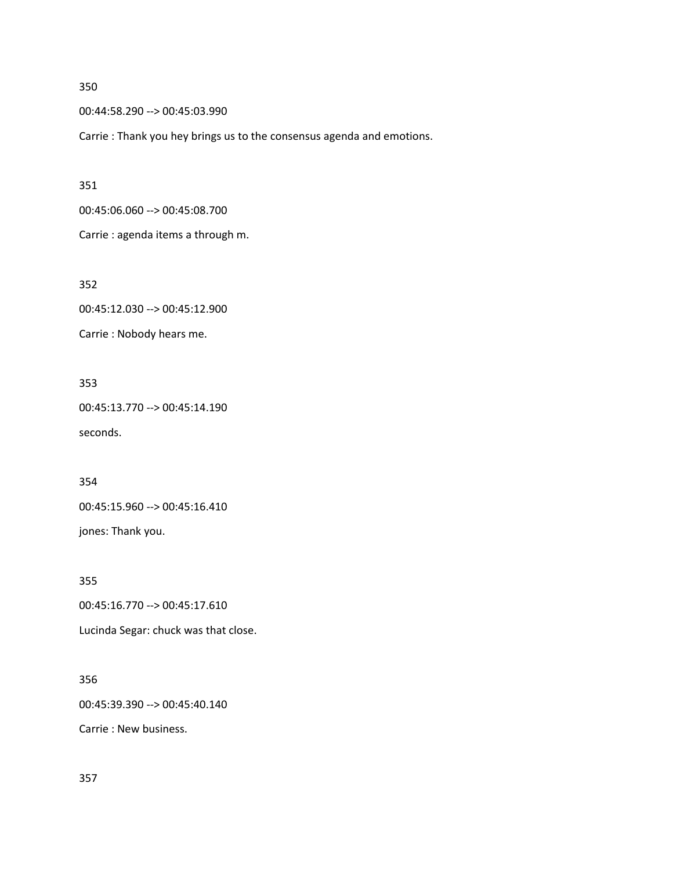00:44:58.290 --> 00:45:03.990

Carrie : Thank you hey brings us to the consensus agenda and emotions.

351

00:45:06.060 --> 00:45:08.700

Carrie : agenda items a through m.

352

00:45:12.030 --> 00:45:12.900

Carrie : Nobody hears me.

353

00:45:13.770 --> 00:45:14.190 seconds.

354

00:45:15.960 --> 00:45:16.410

jones: Thank you.

355

00:45:16.770 --> 00:45:17.610

Lucinda Segar: chuck was that close.

# 356

00:45:39.390 --> 00:45:40.140

Carrie : New business.

357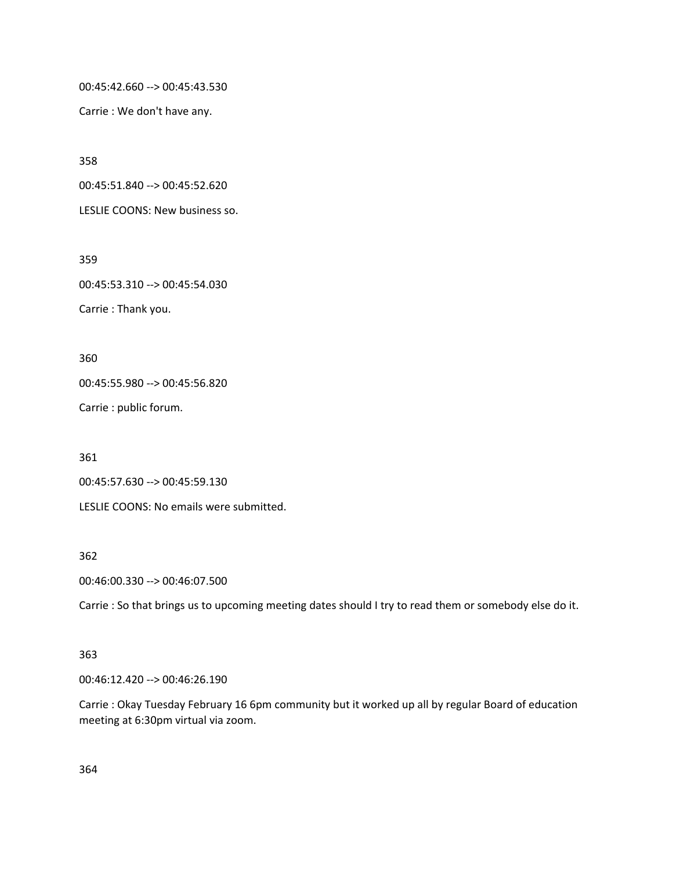00:45:42.660 --> 00:45:43.530

Carrie : We don't have any.

358

00:45:51.840 --> 00:45:52.620

LESLIE COONS: New business so.

359

00:45:53.310 --> 00:45:54.030

Carrie : Thank you.

360

00:45:55.980 --> 00:45:56.820

Carrie : public forum.

361

00:45:57.630 --> 00:45:59.130

LESLIE COONS: No emails were submitted.

#### 362

00:46:00.330 --> 00:46:07.500

Carrie : So that brings us to upcoming meeting dates should I try to read them or somebody else do it.

## 363

00:46:12.420 --> 00:46:26.190

Carrie : Okay Tuesday February 16 6pm community but it worked up all by regular Board of education meeting at 6:30pm virtual via zoom.

364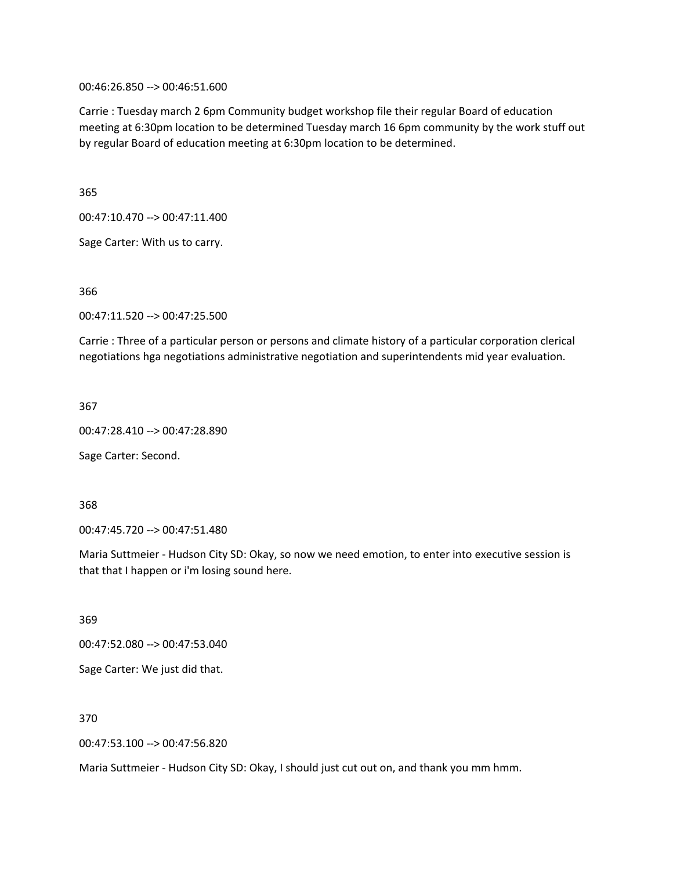00:46:26.850 --> 00:46:51.600

Carrie : Tuesday march 2 6pm Community budget workshop file their regular Board of education meeting at 6:30pm location to be determined Tuesday march 16 6pm community by the work stuff out by regular Board of education meeting at 6:30pm location to be determined.

365

00:47:10.470 --> 00:47:11.400

Sage Carter: With us to carry.

366

00:47:11.520 --> 00:47:25.500

Carrie : Three of a particular person or persons and climate history of a particular corporation clerical negotiations hga negotiations administrative negotiation and superintendents mid year evaluation.

367

00:47:28.410 --> 00:47:28.890

Sage Carter: Second.

368

00:47:45.720 --> 00:47:51.480

Maria Suttmeier - Hudson City SD: Okay, so now we need emotion, to enter into executive session is that that I happen or i'm losing sound here.

369

00:47:52.080 --> 00:47:53.040

Sage Carter: We just did that.

370

00:47:53.100 --> 00:47:56.820

Maria Suttmeier - Hudson City SD: Okay, I should just cut out on, and thank you mm hmm.